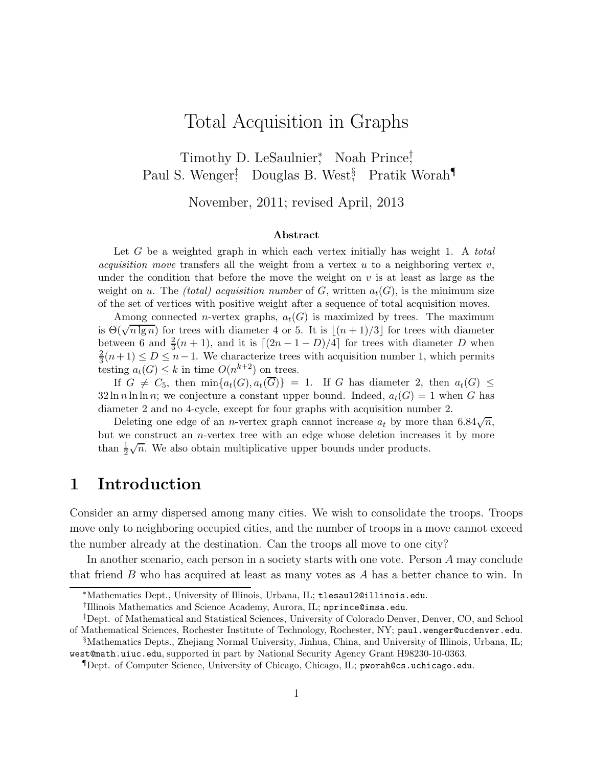# Total Acquisition in Graphs

Timothy D. LeSaulnier,<sup>\*</sup> Noah Prince,† Paul S. Wenger<sup>†</sup>, Douglas B. West<sup>§</sup>, Pratik Worah<sup>¶</sup>

November, 2011; revised April, 2013

#### Abstract

Let  $G$  be a weighted graph in which each vertex initially has weight 1. A total *acquisition move* transfers all the weight from a vertex  $u$  to a neighboring vertex  $v$ , under the condition that before the move the weight on  $v$  is at least as large as the weight on u. The *(total)* acquisition number of G, written  $a_t(G)$ , is the minimum size of the set of vertices with positive weight after a sequence of total acquisition moves.

Among connected *n*-vertex graphs,  $a_t(G)$  is maximized by trees. The maximum is  $\Theta(\sqrt{n \lg n})$  for trees with diameter 4 or 5. It is  $\lfloor (n+1)/3 \rfloor$  for trees with diameter between 6 and  $\frac{2}{3}(n+1)$ , and it is  $\lceil (2n-1-D)/4 \rceil$  for trees with diameter D when 2  $\frac{2}{3}(n+1) \le D \le n-1$ . We characterize trees with acquisition number 1, which permits testing  $a_t(G) \leq k$  in time  $O(n^{k+2})$  on trees.

If  $G \neq C_5$ , then  $\min\{a_t(G),a_t(\overline{G})\} = 1$ . If G has diameter 2, then  $a_t(G) \leq$  $32 \ln n \ln \ln n$ ; we conjecture a constant upper bound. Indeed,  $a_t(G) = 1$  when G has diameter 2 and no 4-cycle, except for four graphs with acquisition number 2.

Deleting one edge of an *n*-vertex graph cannot increase  $a_t$  by more than 6.84 $\sqrt{n}$ , but we construct an  $n$ -vertex tree with an edge whose deletion increases it by more than  $\frac{1}{2}\sqrt{n}$ . We also obtain multiplicative upper bounds under products.

### 1 Introduction

Consider an army dispersed among many cities. We wish to consolidate the troops. Troops move only to neighboring occupied cities, and the number of troops in a move cannot exceed the number already at the destination. Can the troops all move to one city?

In another scenario, each person in a society starts with one vote. Person A may conclude that friend  $B$  who has acquired at least as many votes as  $A$  has a better chance to win. In

<sup>∗</sup>Mathematics Dept., University of Illinois, Urbana, IL; tlesaul2@illinois.edu.

<sup>†</sup> Illinois Mathematics and Science Academy, Aurora, IL; nprince@imsa.edu.

<sup>‡</sup>Dept. of Mathematical and Statistical Sciences, University of Colorado Denver, Denver, CO, and School of Mathematical Sciences, Rochester Institute of Technology, Rochester, NY; paul.wenger@ucdenver.edu.

<sup>§</sup>Mathematics Depts., Zhejiang Normal University, Jinhua, China, and University of Illinois, Urbana, IL; west@math.uiuc.edu, supported in part by National Security Agency Grant H98230-10-0363.

<sup>¶</sup>Dept. of Computer Science, University of Chicago, Chicago, IL; pworah@cs.uchicago.edu.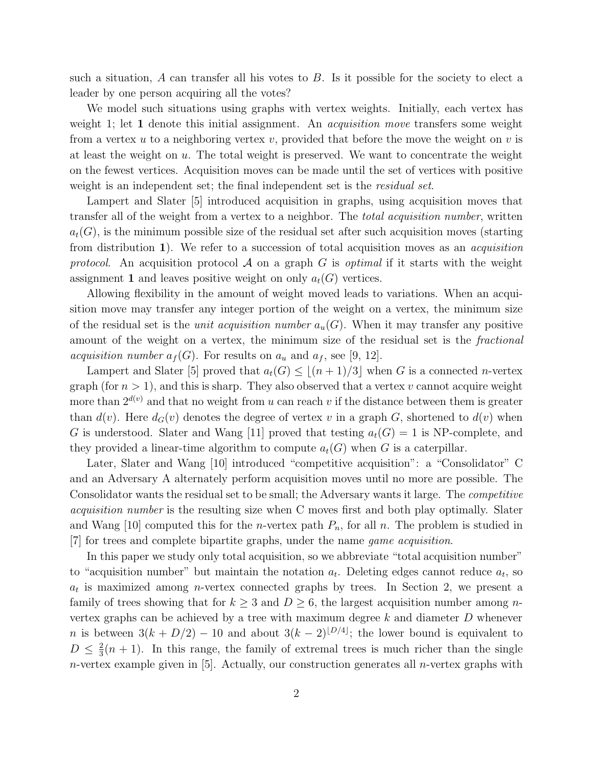such a situation,  $A$  can transfer all his votes to  $B$ . Is it possible for the society to elect a leader by one person acquiring all the votes?

We model such situations using graphs with vertex weights. Initially, each vertex has weight 1; let 1 denote this initial assignment. An *acquisition move* transfers some weight from a vertex u to a neighboring vertex v, provided that before the move the weight on v is at least the weight on u. The total weight is preserved. We want to concentrate the weight on the fewest vertices. Acquisition moves can be made until the set of vertices with positive weight is an independent set; the final independent set is the *residual set*.

Lampert and Slater [5] introduced acquisition in graphs, using acquisition moves that transfer all of the weight from a vertex to a neighbor. The total acquisition number, written  $a_t(G)$ , is the minimum possible size of the residual set after such acquisition moves (starting from distribution 1). We refer to a succession of total acquisition moves as an acquisition protocol. An acquisition protocol A on a graph G is *optimal* if it starts with the weight assignment 1 and leaves positive weight on only  $a_t(G)$  vertices.

Allowing flexibility in the amount of weight moved leads to variations. When an acquisition move may transfer any integer portion of the weight on a vertex, the minimum size of the residual set is the *unit acquisition number*  $a_u(G)$ . When it may transfer any positive amount of the weight on a vertex, the minimum size of the residual set is the *fractional acquisition number*  $a_f(G)$ . For results on  $a_u$  and  $a_f$ , see [9, 12].

Lampert and Slater [5] proved that  $a_t(G) \leq \lfloor (n+1)/3 \rfloor$  when G is a connected n-vertex graph (for  $n > 1$ ), and this is sharp. They also observed that a vertex v cannot acquire weight more than  $2^{d(v)}$  and that no weight from u can reach v if the distance between them is greater than  $d(v)$ . Here  $d_G(v)$  denotes the degree of vertex v in a graph G, shortened to  $d(v)$  when G is understood. Slater and Wang [11] proved that testing  $a_t(G) = 1$  is NP-complete, and they provided a linear-time algorithm to compute  $a_t(G)$  when G is a caterpillar.

Later, Slater and Wang [10] introduced "competitive acquisition": a "Consolidator" C and an Adversary A alternately perform acquisition moves until no more are possible. The Consolidator wants the residual set to be small; the Adversary wants it large. The competitive acquisition number is the resulting size when C moves first and both play optimally. Slater and Wang [10] computed this for the *n*-vertex path  $P_n$ , for all *n*. The problem is studied in [7] for trees and complete bipartite graphs, under the name game acquisition.

In this paper we study only total acquisition, so we abbreviate "total acquisition number" to "acquisition number" but maintain the notation  $a_t$ . Deleting edges cannot reduce  $a_t$ , so  $a_t$  is maximized among *n*-vertex connected graphs by trees. In Section 2, we present a family of trees showing that for  $k \geq 3$  and  $D \geq 6$ , the largest acquisition number among nvertex graphs can be achieved by a tree with maximum degree  $k$  and diameter  $D$  whenever n is between  $3(k + D/2) - 10$  and about  $3(k - 2)^{\lfloor D/4 \rfloor}$ ; the lower bound is equivalent to  $D \leq \frac{2}{3}$  $\frac{2}{3}(n+1)$ . In this range, the family of extremal trees is much richer than the single *n*-vertex example given in [5]. Actually, our construction generates all *n*-vertex graphs with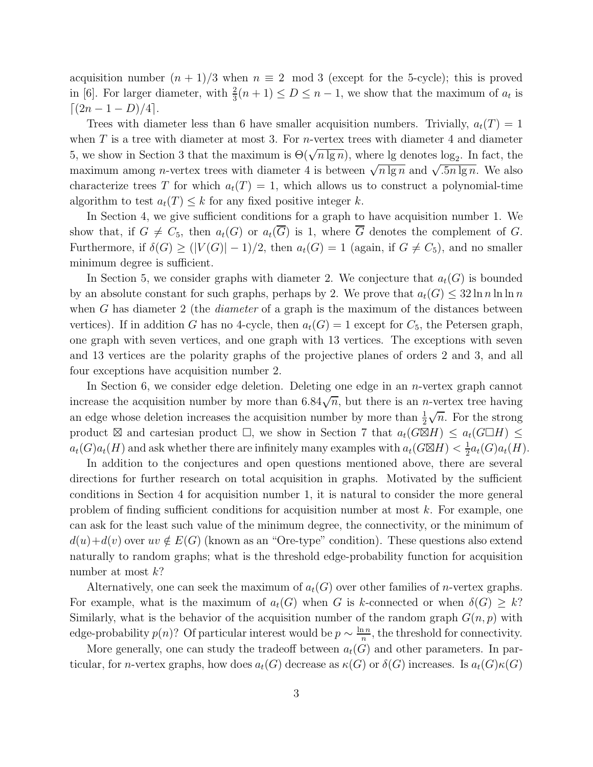acquisition number  $(n + 1)/3$  when  $n \equiv 2 \mod 3$  (except for the 5-cycle); this is proved in [6]. For larger diameter, with  $\frac{2}{3}(n+1) \le D \le n-1$ , we show that the maximum of  $a_t$  is  $[(2n-1-D)/4]$ .

Trees with diameter less than 6 have smaller acquisition numbers. Trivially,  $a_t(T) = 1$ when  $T$  is a tree with diameter at most 3. For *n*-vertex trees with diameter 4 and diameter 5, we show in Section 3 that the maximum is  $\Theta(\sqrt{n \lg n})$ , where lg denotes log<sub>2</sub>. In fact, the maximum among *n*-vertex trees with diameter 4 is between  $\sqrt{n \lg n}$  and  $\sqrt{.5n \lg n}$ . We also characterize trees T for which  $a_t(T) = 1$ , which allows us to construct a polynomial-time algorithm to test  $a_t(T) \leq k$  for any fixed positive integer k.

In Section 4, we give sufficient conditions for a graph to have acquisition number 1. We show that, if  $G \neq C_5$ , then  $a_t(G)$  or  $a_t(\overline{G})$  is 1, where  $\overline{G}$  denotes the complement of G. Furthermore, if  $\delta(G) \ge (|V(G)| - 1)/2$ , then  $a_t(G) = 1$  (again, if  $G \neq C_5$ ), and no smaller minimum degree is sufficient.

In Section 5, we consider graphs with diameter 2. We conjecture that  $a_t(G)$  is bounded by an absolute constant for such graphs, perhaps by 2. We prove that  $a_t(G) \leq 32 \ln n \ln \ln n$ when G has diameter 2 (the *diameter* of a graph is the maximum of the distances between vertices). If in addition G has no 4-cycle, then  $a_t(G) = 1$  except for  $C_5$ , the Petersen graph, one graph with seven vertices, and one graph with 13 vertices. The exceptions with seven and 13 vertices are the polarity graphs of the projective planes of orders 2 and 3, and all four exceptions have acquisition number 2.

In Section 6, we consider edge deletion. Deleting one edge in an *n*-vertex graph cannot increase the acquisition number by more than  $6.84\sqrt{n}$ , but there is an *n*-vertex tree having an edge whose deletion increases the acquisition number by more than  $\frac{1}{2}$  $\sqrt{n}$ . For the strong product  $\boxtimes$  and cartesian product  $\square$ , we show in Section 7 that  $a_t(G\boxtimes H) \le a_t(G\Box H) \le$  $a_t(G)a_t(H)$  and ask whether there are infinitely many examples with  $a_t(G \boxtimes H) < \frac{1}{2}$  $\frac{1}{2}a_t(G)a_t(H)$ .

In addition to the conjectures and open questions mentioned above, there are several directions for further research on total acquisition in graphs. Motivated by the sufficient conditions in Section 4 for acquisition number 1, it is natural to consider the more general problem of finding sufficient conditions for acquisition number at most  $k$ . For example, one can ask for the least such value of the minimum degree, the connectivity, or the minimum of  $d(u)+d(v)$  over  $uv \notin E(G)$  (known as an "Ore-type" condition). These questions also extend naturally to random graphs; what is the threshold edge-probability function for acquisition number at most  $k$ ?

Alternatively, one can seek the maximum of  $a_t(G)$  over other families of *n*-vertex graphs. For example, what is the maximum of  $a_t(G)$  when G is k-connected or when  $\delta(G) \geq k$ ? Similarly, what is the behavior of the acquisition number of the random graph  $G(n, p)$  with edge-probability  $p(n)$ ? Of particular interest would be  $p \sim \frac{\ln n}{n}$  $\frac{1}{n}$ , the threshold for connectivity.

More generally, one can study the tradeoff between  $a_t(G)$  and other parameters. In particular, for *n*-vertex graphs, how does  $a_t(G)$  decrease as  $\kappa(G)$  or  $\delta(G)$  increases. Is  $a_t(G)\kappa(G)$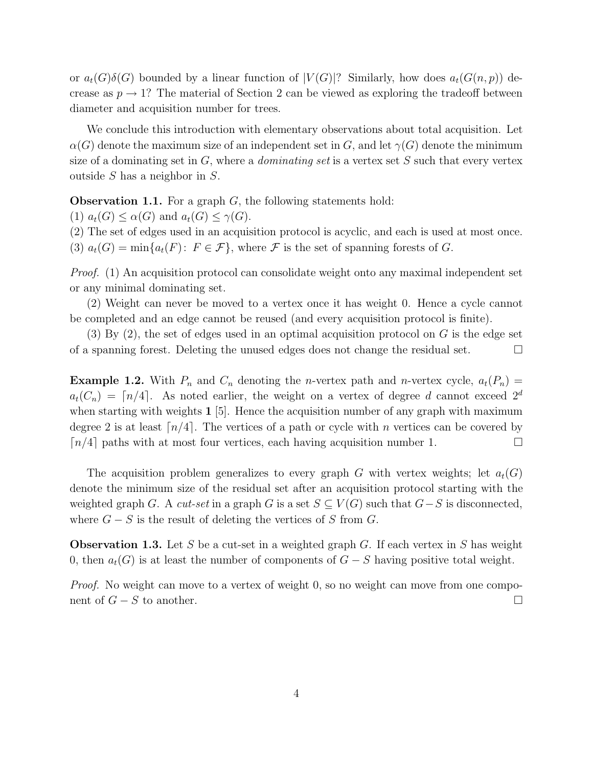or  $a_t(G)\delta(G)$  bounded by a linear function of  $|V(G)|$ ? Similarly, how does  $a_t(G(n, p))$  decrease as  $p \to 1$ ? The material of Section 2 can be viewed as exploring the tradeoff between diameter and acquisition number for trees.

We conclude this introduction with elementary observations about total acquisition. Let  $\alpha(G)$  denote the maximum size of an independent set in G, and let  $\gamma(G)$  denote the minimum size of a dominating set in  $G$ , where a *dominating set* is a vertex set  $S$  such that every vertex outside S has a neighbor in S.

**Observation 1.1.** For a graph  $G$ , the following statements hold:

(1)  $a_t(G) \leq \alpha(G)$  and  $a_t(G) \leq \gamma(G)$ .

(2) The set of edges used in an acquisition protocol is acyclic, and each is used at most once. (3)  $a_t(G) = \min\{a_t(F): F \in \mathcal{F}\}\$ , where  $\mathcal F$  is the set of spanning forests of G.

Proof. (1) An acquisition protocol can consolidate weight onto any maximal independent set or any minimal dominating set.

(2) Weight can never be moved to a vertex once it has weight 0. Hence a cycle cannot be completed and an edge cannot be reused (and every acquisition protocol is finite).

 $(3)$  By  $(2)$ , the set of edges used in an optimal acquisition protocol on G is the edge set of a spanning forest. Deleting the unused edges does not change the residual set.  $\Box$ 

**Example 1.2.** With  $P_n$  and  $C_n$  denoting the *n*-vertex path and *n*-vertex cycle,  $a_t(P_n)$  =  $a_t(C_n) = \lceil n/4 \rceil$ . As noted earlier, the weight on a vertex of degree d cannot exceed  $2^d$ when starting with weights  $1 \times 1$ . Hence the acquisition number of any graph with maximum degree 2 is at least  $\lceil n/4 \rceil$ . The vertices of a path or cycle with n vertices can be covered by  $\lceil n/4 \rceil$  paths with at most four vertices, each having acquisition number 1.

The acquisition problem generalizes to every graph G with vertex weights; let  $a_t(G)$ denote the minimum size of the residual set after an acquisition protocol starting with the weighted graph G. A cut-set in a graph G is a set  $S \subseteq V(G)$  such that  $G-S$  is disconnected, where  $G - S$  is the result of deleting the vertices of S from G.

**Observation 1.3.** Let S be a cut-set in a weighted graph G. If each vertex in S has weight 0, then  $a_t(G)$  is at least the number of components of  $G - S$  having positive total weight.

*Proof.* No weight can move to a vertex of weight 0, so no weight can move from one component of  $G - S$  to another.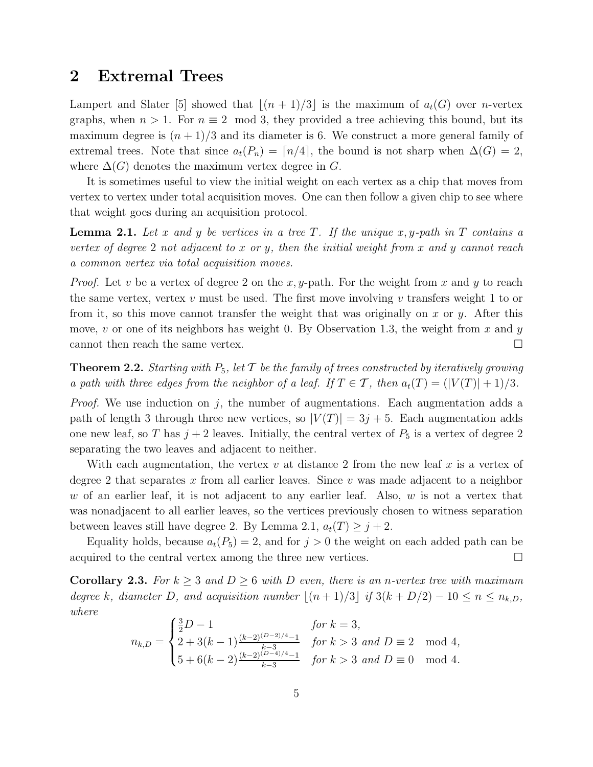#### 2 Extremal Trees

Lampert and Slater [5] showed that  $|(n+1)/3|$  is the maximum of  $a_t(G)$  over *n*-vertex graphs, when  $n > 1$ . For  $n \equiv 2 \mod 3$ , they provided a tree achieving this bound, but its maximum degree is  $(n+1)/3$  and its diameter is 6. We construct a more general family of extremal trees. Note that since  $a_t(P_n) = \lceil n/4 \rceil$ , the bound is not sharp when  $\Delta(G) = 2$ , where  $\Delta(G)$  denotes the maximum vertex degree in G.

It is sometimes useful to view the initial weight on each vertex as a chip that moves from vertex to vertex under total acquisition moves. One can then follow a given chip to see where that weight goes during an acquisition protocol.

**Lemma 2.1.** Let x and y be vertices in a tree T. If the unique x, y-path in T contains a vertex of degree 2 not adjacent to x or y, then the initial weight from x and y cannot reach a common vertex via total acquisition moves.

*Proof.* Let v be a vertex of degree 2 on the x, y-path. For the weight from x and y to reach the same vertex, vertex  $v$  must be used. The first move involving  $v$  transfers weight 1 to or from it, so this move cannot transfer the weight that was originally on x or y. After this move, v or one of its neighbors has weight 0. By Observation 1.3, the weight from x and y cannot then reach the same vertex.  $\Box$ 

**Theorem 2.2.** Starting with  $P_5$ , let  $\mathcal T$  be the family of trees constructed by iteratively growing a path with three edges from the neighbor of a leaf. If  $T \in \mathcal{T}$ , then  $a_t(T) = (|V(T)| + 1)/3$ .

*Proof.* We use induction on j, the number of augmentations. Each augmentation adds a path of length 3 through three new vertices, so  $|V(T)| = 3j + 5$ . Each augmentation adds one new leaf, so T has  $j + 2$  leaves. Initially, the central vertex of  $P_5$  is a vertex of degree 2 separating the two leaves and adjacent to neither.

With each augmentation, the vertex v at distance 2 from the new leaf x is a vertex of degree 2 that separates x from all earlier leaves. Since v was made adjacent to a neighbor w of an earlier leaf, it is not adjacent to any earlier leaf. Also,  $w$  is not a vertex that was nonadjacent to all earlier leaves, so the vertices previously chosen to witness separation between leaves still have degree 2. By Lemma 2.1,  $a_t(T) \geq j + 2$ .

Equality holds, because  $a_t(P_5) = 2$ , and for  $j > 0$  the weight on each added path can be acquired to the central vertex among the three new vertices.

**Corollary 2.3.** For  $k \geq 3$  and  $D \geq 6$  with D even, there is an n-vertex tree with maximum degree k, diameter D, and acquisition number  $|(n+1)/3|$  if  $3(k+D/2)-10 \le n \le n_{k,D}$ , where

$$
n_{k,D} = \begin{cases} \frac{3}{2}D - 1 & \text{for } k = 3, \\ 2 + 3(k - 1)\frac{(k - 2)^{(D - 2)/4} - 1}{k - 3} & \text{for } k > 3 \text{ and } D \equiv 2 \mod 4, \\ 5 + 6(k - 2)\frac{(k - 2)^{(D - 4)/4} - 1}{k - 3} & \text{for } k > 3 \text{ and } D \equiv 0 \mod 4. \end{cases}
$$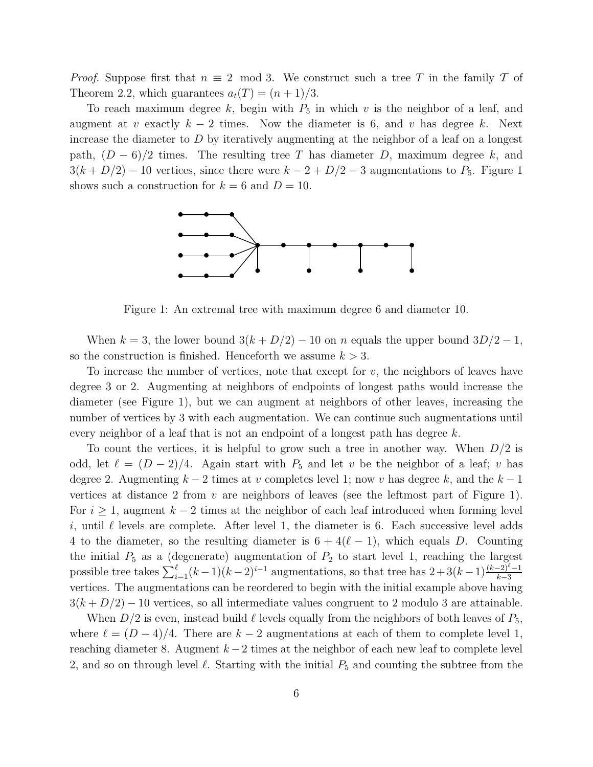*Proof.* Suppose first that  $n \equiv 2 \mod 3$ . We construct such a tree T in the family T of Theorem 2.2, which guarantees  $a_t(T) = (n+1)/3$ .

To reach maximum degree k, begin with  $P_5$  in which v is the neighbor of a leaf, and augment at v exactly  $k-2$  times. Now the diameter is 6, and v has degree k. Next increase the diameter to  $D$  by iteratively augmenting at the neighbor of a leaf on a longest path,  $(D-6)/2$  times. The resulting tree T has diameter D, maximum degree k, and  $3(k+D/2)-10$  vertices, since there were  $k-2+D/2-3$  augmentations to  $P_5$ . Figure 1 shows such a construction for  $k = 6$  and  $D = 10$ .



Figure 1: An extremal tree with maximum degree 6 and diameter 10.

When  $k = 3$ , the lower bound  $3(k + D/2) - 10$  on n equals the upper bound  $3D/2 - 1$ , so the construction is finished. Henceforth we assume  $k > 3$ .

To increase the number of vertices, note that except for  $v$ , the neighbors of leaves have degree 3 or 2. Augmenting at neighbors of endpoints of longest paths would increase the diameter (see Figure 1), but we can augment at neighbors of other leaves, increasing the number of vertices by 3 with each augmentation. We can continue such augmentations until every neighbor of a leaf that is not an endpoint of a longest path has degree  $k$ .

To count the vertices, it is helpful to grow such a tree in another way. When  $D/2$  is odd, let  $\ell = (D-2)/4$ . Again start with  $P_5$  and let v be the neighbor of a leaf; v has degree 2. Augmenting  $k-2$  times at v completes level 1; now v has degree k, and the  $k-1$ vertices at distance 2 from  $v$  are neighbors of leaves (see the leftmost part of Figure 1). For  $i \geq 1$ , augment  $k-2$  times at the neighbor of each leaf introduced when forming level i, until  $\ell$  levels are complete. After level 1, the diameter is 6. Each successive level adds 4 to the diameter, so the resulting diameter is  $6 + 4(\ell - 1)$ , which equals D. Counting the initial  $P_5$  as a (degenerate) augmentation of  $P_2$  to start level 1, reaching the largest possible tree takes  $\sum_{i=1}^{\ell} (k-1)(k-2)^{i-1}$  augmentations, so that tree has  $2+3(k-1)\frac{(k-2)^{\ell}-1}{k-3}$ vertices. The augmentations can be reordered to begin with the initial example above having  $3(k+D/2)-10$  vertices, so all intermediate values congruent to 2 modulo 3 are attainable.

When  $D/2$  is even, instead build  $\ell$  levels equally from the neighbors of both leaves of  $P_5$ , where  $\ell = (D-4)/4$ . There are  $k-2$  augmentations at each of them to complete level 1, reaching diameter 8. Augment  $k-2$  times at the neighbor of each new leaf to complete level 2, and so on through level  $\ell$ . Starting with the initial  $P_5$  and counting the subtree from the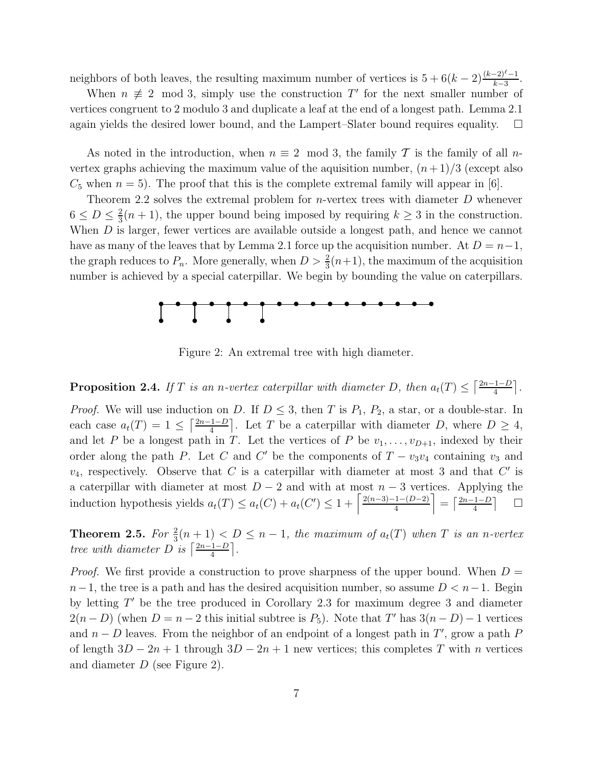neighbors of both leaves, the resulting maximum number of vertices is  $5 + 6(k-2)\frac{(k-2)^{\ell}-1}{k-3}$ .

When  $n \neq 2 \mod 3$ , simply use the construction T' for the next smaller number of vertices congruent to 2 modulo 3 and duplicate a leaf at the end of a longest path. Lemma 2.1 again yields the desired lower bound, and the Lampert–Slater bound requires equality.  $\square$ 

As noted in the introduction, when  $n \equiv 2 \mod 3$ , the family T is the family of all nvertex graphs achieving the maximum value of the aquisition number,  $(n+1)/3$  (except also  $C_5$  when  $n = 5$ ). The proof that this is the complete extremal family will appear in [6].

Theorem 2.2 solves the extremal problem for  $n$ -vertex trees with diameter  $D$  whenever  $6 \leq D \leq \frac{2}{3}$  $\frac{2}{3}(n+1)$ , the upper bound being imposed by requiring  $k \geq 3$  in the construction. When  $D$  is larger, fewer vertices are available outside a longest path, and hence we cannot have as many of the leaves that by Lemma 2.1 force up the acquisition number. At  $D = n-1$ , the graph reduces to  $P_n$ . More generally, when  $D > \frac{2}{3}(n+1)$ , the maximum of the acquisition number is achieved by a special caterpillar. We begin by bounding the value on caterpillars.



Figure 2: An extremal tree with high diameter.

**Proposition 2.4.** If T is an n-vertex caterpillar with diameter D, then  $a_t(T) \leq \lceil \frac{2n-1-D}{4} \rceil$ .

*Proof.* We will use induction on D. If  $D \leq 3$ , then T is  $P_1$ ,  $P_2$ , a star, or a double-star. In each case  $a_t(T) = 1 \leq \left\lceil \frac{2n-1-D}{4} \right\rceil$ . Let T be a caterpillar with diameter D, where  $D \geq 4$ , and let P be a longest path in T. Let the vertices of P be  $v_1, \ldots, v_{D+1}$ , indexed by their order along the path P. Let C and C' be the components of  $T - v_3v_4$  containing  $v_3$  and  $v_4$ , respectively. Observe that C is a caterpillar with diameter at most 3 and that C' is a caterpillar with diameter at most  $D-2$  and with at most  $n-3$  vertices. Applying the induction hypothesis yields  $a_t(T) \le a_t(C) + a_t(C') \le 1 + \left\lceil \frac{2(n-3)-1-(D-2)}{4} \right\rceil = \left\lceil \frac{2n-1-D}{4} \right\rceil$  $\Box$ 

**Theorem 2.5.** For  $\frac{2}{3}(n+1) < D \leq n-1$ , the maximum of  $a_t(T)$  when T is an n-vertex tree with diameter D is  $\left\lceil \frac{2n-1-D}{4} \right\rceil$ .

*Proof.* We first provide a construction to prove sharpness of the upper bound. When  $D =$  $n-1$ , the tree is a path and has the desired acquisition number, so assume  $D < n-1$ . Begin by letting T ′ be the tree produced in Corollary 2.3 for maximum degree 3 and diameter  $2(n - D)$  (when  $D = n - 2$  this initial subtree is  $P_5$ ). Note that T' has  $3(n - D) - 1$  vertices and  $n - D$  leaves. From the neighbor of an endpoint of a longest path in T', grow a path  $P$ of length  $3D - 2n + 1$  through  $3D - 2n + 1$  new vertices; this completes T with n vertices and diameter D (see Figure 2).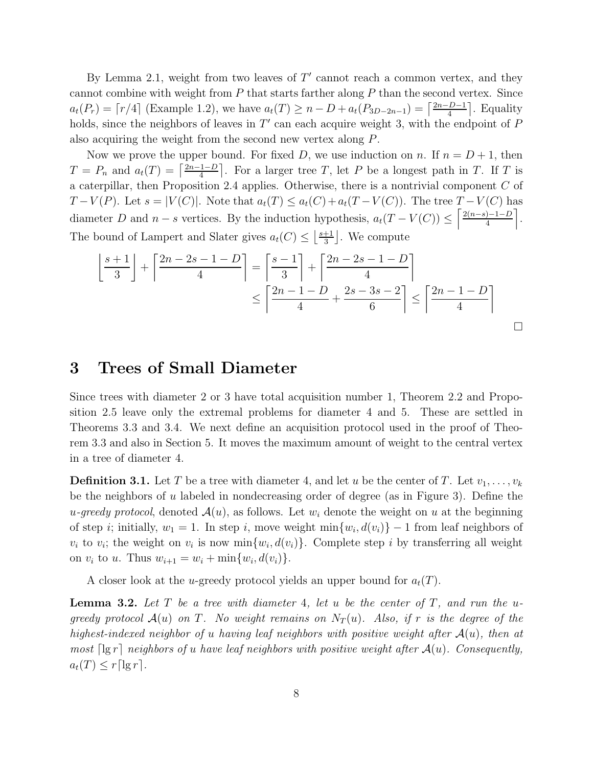By Lemma 2.1, weight from two leaves of  $T'$  cannot reach a common vertex, and they cannot combine with weight from  $P$  that starts farther along  $P$  than the second vertex. Since  $a_t(P_r) = \lceil r/4 \rceil$  (Example 1.2), we have  $a_t(T) \ge n - D + a_t(P_{3D-2n-1}) = \lceil \frac{2n - D - 1}{4} \rceil$ . Equality holds, since the neighbors of leaves in  $T'$  can each acquire weight 3, with the endpoint of  $P$ also acquiring the weight from the second new vertex along P.

Now we prove the upper bound. For fixed D, we use induction on n. If  $n = D + 1$ , then  $T = P_n$  and  $a_t(T) = \left\lceil \frac{2n-1-D}{4} \right\rceil$ . For a larger tree T, let P be a longest path in T. If T is a caterpillar, then Proposition 2.4 applies. Otherwise, there is a nontrivial component  $C$  of  $T-V(P)$ . Let  $s=|V(C)|$ . Note that  $a_t(T) \le a_t(C)+a_t(T-V(C))$ . The tree  $T-V(C)$  has diameter D and  $n-s$  vertices. By the induction hypothesis,  $a_t(T - V(C)) \leq \left\lceil \frac{2(n-s)-1-D}{4} \right\rceil$ . The bound of Lampert and Slater gives  $a_t(C) \leq \left\lfloor \frac{s+1}{3} \right\rfloor$  $\frac{+1}{3}$ . We compute

$$
\left\lfloor \frac{s+1}{3} \right\rfloor + \left\lceil \frac{2n-2s-1-D}{4} \right\rceil = \left\lceil \frac{s-1}{3} \right\rceil + \left\lceil \frac{2n-2s-1-D}{4} \right\rceil
$$

$$
\leq \left\lceil \frac{2n-1-D}{4} + \frac{2s-3s-2}{6} \right\rceil \leq \left\lceil \frac{2n-1-D}{4} \right\rceil
$$

#### 3 Trees of Small Diameter

Since trees with diameter 2 or 3 have total acquisition number 1, Theorem 2.2 and Proposition 2.5 leave only the extremal problems for diameter 4 and 5. These are settled in Theorems 3.3 and 3.4. We next define an acquisition protocol used in the proof of Theorem 3.3 and also in Section 5. It moves the maximum amount of weight to the central vertex in a tree of diameter 4.

**Definition 3.1.** Let T be a tree with diameter 4, and let u be the center of T. Let  $v_1, \ldots, v_k$ be the neighbors of u labeled in nondecreasing order of degree (as in Figure 3). Define the u-greedy protocol, denoted  $A(u)$ , as follows. Let  $w_i$  denote the weight on u at the beginning of step *i*; initially,  $w_1 = 1$ . In step *i*, move weight  $\min\{w_i, d(v_i)\} - 1$  from leaf neighbors of  $v_i$  to  $v_i$ ; the weight on  $v_i$  is now  $\min\{w_i, d(v_i)\}\)$ . Complete step i by transferring all weight on  $v_i$  to u. Thus  $w_{i+1} = w_i + \min\{w_i, d(v_i)\}.$ 

A closer look at the u-greedy protocol yields an upper bound for  $a_t(T)$ .

**Lemma 3.2.** Let T be a tree with diameter 4, let u be the center of T, and run the ugreedy protocol  $\mathcal{A}(u)$  on T. No weight remains on  $N_T(u)$ . Also, if r is the degree of the highest-indexed neighbor of u having leaf neighbors with positive weight after  $A(u)$ , then at most  $\lceil \lg r \rceil$  neighbors of u have leaf neighbors with positive weight after  $\mathcal{A}(u)$ . Consequently,  $a_t(T) \leq r \lceil \lg r \rceil$ .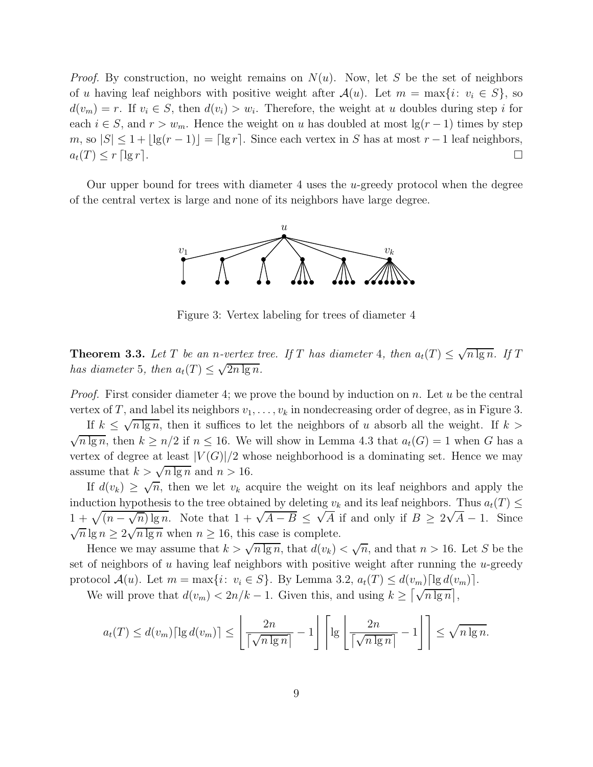*Proof.* By construction, no weight remains on  $N(u)$ . Now, let S be the set of neighbors of u having leaf neighbors with positive weight after  $\mathcal{A}(u)$ . Let  $m = \max\{i: v_i \in S\}$ , so  $d(v_m) = r$ . If  $v_i \in S$ , then  $d(v_i) > w_i$ . Therefore, the weight at u doubles during step i for each  $i \in S$ , and  $r > w_m$ . Hence the weight on u has doubled at most  $\lg(r-1)$  times by step m, so  $|S| \leq 1 + |\lg(r-1)| = |\lg r|$ . Since each vertex in S has at most  $r-1$  leaf neighbors,  $a_t(T) \leq r \lceil \lg r \rceil.$ 

Our upper bound for trees with diameter 4 uses the u-greedy protocol when the degree of the central vertex is large and none of its neighbors have large degree.



Figure 3: Vertex labeling for trees of diameter 4

**Theorem 3.3.** Let T be an n-vertex tree. If T has diameter 4, then  $a_t(T) \leq \sqrt{n \lg n}$ . If T has diameter 5, then  $a_t(T) \leq \sqrt{2n \lg n}$ .

*Proof.* First consider diameter 4; we prove the bound by induction on n. Let u be the central vertex of T, and label its neighbors  $v_1, \ldots, v_k$  in nondecreasing order of degree, as in Figure 3.

If  $k \leq \sqrt{n \lg n}$ , then it suffices to let the neighbors of u absorb all the weight. If  $k >$  $\sqrt{n \lg n}$ , then  $k \geq n/2$  if  $n \leq 16$ . We will show in Lemma 4.3 that  $a_t(G) = 1$  when G has a vertex of degree at least  $|V(G)|/2$  whose neighborhood is a dominating set. Hence we may assume that  $k > \sqrt{n \lg n}$  and  $n > 16$ .

If  $d(v_k) \geq \sqrt{n}$ , then we let  $v_k$  acquire the weight on its leaf neighbors and apply the induction hypothesis to the tree obtained by deleting  $v_k$  and its leaf neighbors. Thus  $a_t(T) \leq$  $1 + \sqrt{(n - \sqrt{n}) \lg n}$ . Note that  $1 + \sqrt{A - B} \leq \sqrt{A}$  if and only if  $B \geq 2\sqrt{A} - 1$ . Since  $\sqrt{n} \lg n \geq 2\sqrt{n \lg n}$  when  $n \geq 16$ , this case is complete.

Hence we may assume that  $k > \sqrt{n \lg n}$ , that  $d(v_k) < \sqrt{n}$ , and that  $n > 16$ . Let S be the set of neighbors of  $u$  having leaf neighbors with positive weight after running the  $u$ -greedy protocol  $\mathcal{A}(u)$ . Let  $m = \max\{i: v_i \in S\}$ . By Lemma 3.2,  $a_t(T) \leq d(v_m) \lceil \lg d(v_m) \rceil$ .

We will prove that  $d(v_m) < 2n/k - 1$ . Given this, and using  $k \geq \lceil \sqrt{n \lg n} \rceil$ ,

$$
a_t(T) \le d(v_m) \lceil \lg d(v_m) \rceil \le \left\lfloor \frac{2n}{\lceil \sqrt{n \lg n} \rceil} - 1 \right\rfloor \left\lceil \lg \left\lfloor \frac{2n}{\lceil \sqrt{n \lg n} \rceil} - 1 \right\rfloor \right\rceil \le \sqrt{n \lg n}.
$$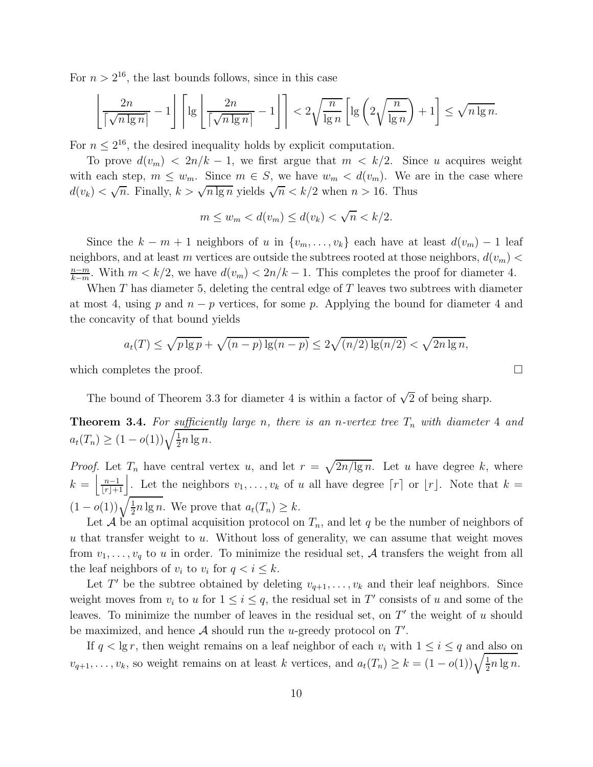For  $n > 2^{16}$ , the last bounds follows, since in this case

$$
\left\lfloor \frac{2n}{\lceil \sqrt{n \lg n} \rceil} - 1 \right\rfloor \left\lceil \lg \left\lfloor \frac{2n}{\lceil \sqrt{n \lg n} \rceil} - 1 \right\rfloor \right\rceil < 2 \sqrt{\frac{n}{\lg n}} \left[ \lg \left( 2\sqrt{\frac{n}{\lg n}} \right) + 1 \right] \le \sqrt{n \lg n}.
$$

For  $n \leq 2^{16}$ , the desired inequality holds by explicit computation.

To prove  $d(v_m) < 2n/k - 1$ , we first argue that  $m < k/2$ . Since u acquires weight with each step,  $m \leq w_m$ . Since  $m \in S$ , we have  $w_m < d(v_m)$ . We are in the case where  $d(v_k) < \sqrt{n}$ . Finally,  $k > \sqrt{n \lg n}$  yields  $\sqrt{n} < k/2$  when  $n > 16$ . Thus

$$
m \le w_m < d(v_m) \le d(v_k) < \sqrt{n} < k/2.
$$

Since the  $k - m + 1$  neighbors of u in  $\{v_m, \ldots, v_k\}$  each have at least  $d(v_m) - 1$  leaf neighbors, and at least m vertices are outside the subtrees rooted at those neighbors,  $d(v_m)$  <  $n-m$  $\frac{n-m}{k-m}$ . With  $m < k/2$ , we have  $d(v_m) < 2n/k - 1$ . This completes the proof for diameter 4.

When  $T$  has diameter 5, deleting the central edge of  $T$  leaves two subtrees with diameter at most 4, using p and  $n - p$  vertices, for some p. Applying the bound for diameter 4 and the concavity of that bound yields

$$
a_t(T) \le \sqrt{p \lg p} + \sqrt{(n-p) \lg(n-p)} \le 2\sqrt{(n/2) \lg(n/2)} < \sqrt{2n \lg n},
$$

which completes the proof.  $\Box$ 

The bound of Theorem 3.3 for diameter 4 is within a factor of  $\sqrt{2}$  of being sharp.

**Theorem 3.4.** For sufficiently large n, there is an n-vertex tree  $T_n$  with diameter 4 and  $a_t(T_n) \geq (1 - o(1))\sqrt{\frac{1}{2}}$  $rac{1}{2}n \lg n$ .

*Proof.* Let  $T_n$  have central vertex u, and let  $r = \sqrt{2n/\lg n}$ . Let u have degree k, where  $k = \left[\frac{n-1}{\lfloor r \rfloor + 1}\right]$ . Let the neighbors  $v_1, \ldots, v_k$  of u all have degree  $\lceil r \rceil$  or  $\lfloor r \rfloor$ . Note that  $k =$  $(1-o(1))\sqrt{\frac{1}{2}}$  $\frac{1}{2}n \lg n$ . We prove that  $a_t(T_n) \geq k$ .

Let  $A$  be an optimal acquisition protocol on  $T_n$ , and let  $q$  be the number of neighbors of  $u$  that transfer weight to  $u$ . Without loss of generality, we can assume that weight moves from  $v_1, \ldots, v_q$  to u in order. To minimize the residual set, A transfers the weight from all the leaf neighbors of  $v_i$  to  $v_i$  for  $q < i \leq k$ .

Let T' be the subtree obtained by deleting  $v_{q+1}, \ldots, v_k$  and their leaf neighbors. Since weight moves from  $v_i$  to u for  $1 \leq i \leq q$ , the residual set in T' consists of u and some of the leaves. To minimize the number of leaves in the residual set, on  $T'$  the weight of u should be maximized, and hence  $A$  should run the *u*-greedy protocol on  $T'$ .

If  $q < \lg r$ , then weight remains on a leaf neighbor of each  $v_i$  with  $1 \leq i \leq q$  and also on  $v_{q+1}, \ldots, v_k$ , so weight remains on at least k vertices, and  $a_t(T_n) \geq k = (1 - o(1))\sqrt{\frac{1}{2}}$  $rac{1}{2}n \lg n$ .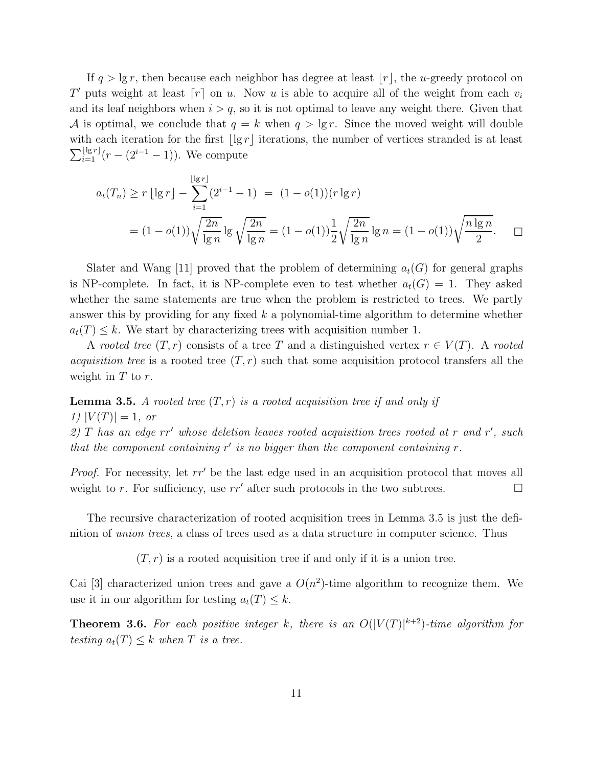If  $q > \lg r$ , then because each neighbor has degree at least  $|r|$ , the u-greedy protocol on T' puts weight at least  $\lceil r \rceil$  on u. Now u is able to acquire all of the weight from each  $v_i$ and its leaf neighbors when  $i > q$ , so it is not optimal to leave any weight there. Given that A is optimal, we conclude that  $q = k$  when  $q > \lg r$ . Since the moved weight will double with each iteration for the first  $|\lg r|$  iterations, the number of vertices stranded is at least  $\sum_{i=1}^{\lfloor \lg r \rfloor} (r - (2^{i-1} - 1)).$  We compute

$$
a_t(T_n) \ge r \lfloor \lg r \rfloor - \sum_{i=1}^{\lfloor \lg r \rfloor} (2^{i-1} - 1) = (1 - o(1))(r \lg r)
$$
  
=  $(1 - o(1)) \sqrt{\frac{2n}{\lg n}} \lg \sqrt{\frac{2n}{\lg n}} = (1 - o(1)) \frac{1}{2} \sqrt{\frac{2n}{\lg n}} \lg n = (1 - o(1)) \sqrt{\frac{n \lg n}{2}}.$ 

Slater and Wang [11] proved that the problem of determining  $a_t(G)$  for general graphs is NP-complete. In fact, it is NP-complete even to test whether  $a_t(G) = 1$ . They asked whether the same statements are true when the problem is restricted to trees. We partly answer this by providing for any fixed  $k$  a polynomial-time algorithm to determine whether  $a_t(T) \leq k$ . We start by characterizing trees with acquisition number 1.

A rooted tree  $(T, r)$  consists of a tree T and a distinguished vertex  $r \in V(T)$ . A rooted *acquisition tree* is a rooted tree  $(T, r)$  such that some acquisition protocol transfers all the weight in  $T$  to  $r$ .

**Lemma 3.5.** A rooted tree  $(T, r)$  is a rooted acquisition tree if and only if 1)  $|V(T)| = 1$ , or

2)  $T$  has an edge  $rr'$  whose deletion leaves rooted acquisition trees rooted at  $r$  and  $r'$ , such that the component containing  $r'$  is no bigger than the component containing  $r$ .

Proof. For necessity, let rr' be the last edge used in an acquisition protocol that moves all weight to r. For sufficiency, use  $rr'$  after such protocols in the two subtrees.

The recursive characterization of rooted acquisition trees in Lemma 3.5 is just the definition of union trees, a class of trees used as a data structure in computer science. Thus

 $(T, r)$  is a rooted acquisition tree if and only if it is a union tree.

Cai [3] characterized union trees and gave a  $O(n^2)$ -time algorithm to recognize them. We use it in our algorithm for testing  $a_t(T) \leq k$ .

**Theorem 3.6.** For each positive integer k, there is an  $O(|V(T)|^{k+2})$ -time algorithm for testing  $a_t(T) \leq k$  when T is a tree.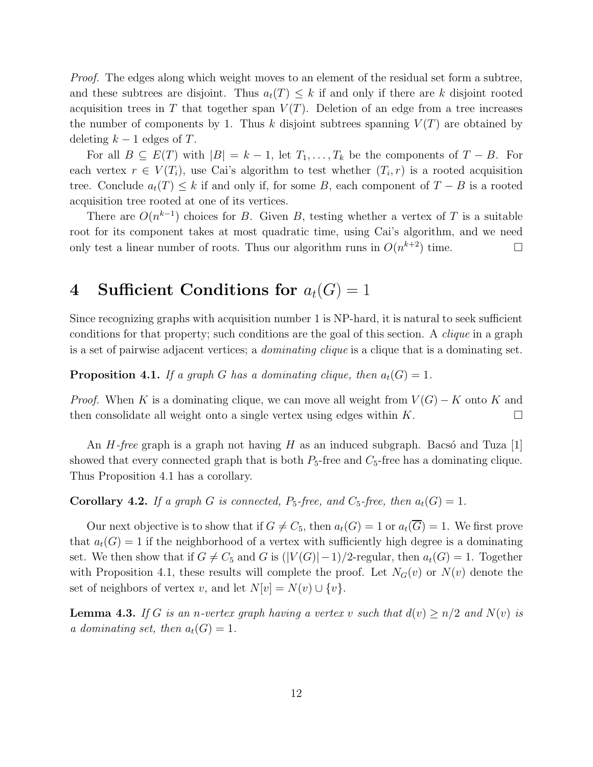Proof. The edges along which weight moves to an element of the residual set form a subtree, and these subtrees are disjoint. Thus  $a_t(T) \leq k$  if and only if there are k disjoint rooted acquisition trees in T that together span  $V(T)$ . Deletion of an edge from a tree increases the number of components by 1. Thus k disjoint subtrees spanning  $V(T)$  are obtained by deleting  $k-1$  edges of T.

For all  $B \subseteq E(T)$  with  $|B| = k - 1$ , let  $T_1, \ldots, T_k$  be the components of  $T - B$ . For each vertex  $r \in V(T_i)$ , use Cai's algorithm to test whether  $(T_i, r)$  is a rooted acquisition tree. Conclude  $a_t(T) \leq k$  if and only if, for some B, each component of  $T - B$  is a rooted acquisition tree rooted at one of its vertices.

There are  $O(n^{k-1})$  choices for B. Given B, testing whether a vertex of T is a suitable root for its component takes at most quadratic time, using Cai's algorithm, and we need only test a linear number of roots. Thus our algorithm runs in  $O(n^{k+2})$  time.

## 4 Sufficient Conditions for  $a_t(G) = 1$

Since recognizing graphs with acquisition number 1 is NP-hard, it is natural to seek sufficient conditions for that property; such conditions are the goal of this section. A clique in a graph is a set of pairwise adjacent vertices; a *dominating clique* is a clique that is a dominating set.

**Proposition 4.1.** If a graph G has a dominating clique, then  $a_t(G) = 1$ .

*Proof.* When K is a dominating clique, we can move all weight from  $V(G) - K$  onto K and then consolidate all weight onto a single vertex using edges within  $K$ .

An  $H$ -free graph is a graph not having H as an induced subgraph. Bacso and Tuza [1] showed that every connected graph that is both  $P_5$ -free and  $C_5$ -free has a dominating clique. Thus Proposition 4.1 has a corollary.

**Corollary 4.2.** If a graph G is connected,  $P_5$ -free, and  $C_5$ -free, then  $a_t(G) = 1$ .

Our next objective is to show that if  $G \neq C_5$ , then  $a_t(G) = 1$  or  $a_t(\overline{G}) = 1$ . We first prove that  $a_t(G) = 1$  if the neighborhood of a vertex with sufficiently high degree is a dominating set. We then show that if  $G \neq C_5$  and G is  $(|V(G)|-1)/2$ -regular, then  $a_t(G) = 1$ . Together with Proposition 4.1, these results will complete the proof. Let  $N_G(v)$  or  $N(v)$  denote the set of neighbors of vertex v, and let  $N[v] = N(v) \cup \{v\}.$ 

**Lemma 4.3.** If G is an n-vertex graph having a vertex v such that  $d(v) \ge n/2$  and  $N(v)$  is a dominating set, then  $a_t(G) = 1$ .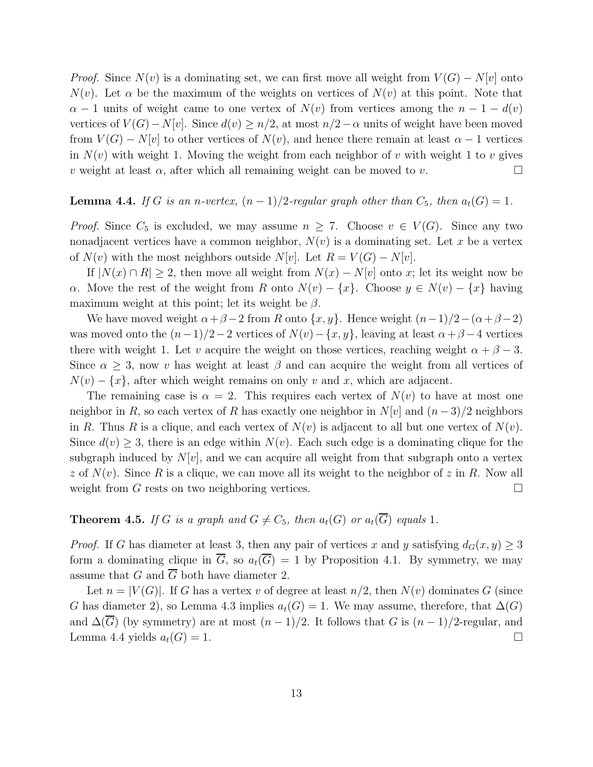*Proof.* Since  $N(v)$  is a dominating set, we can first move all weight from  $V(G) - N[v]$  onto  $N(v)$ . Let  $\alpha$  be the maximum of the weights on vertices of  $N(v)$  at this point. Note that  $\alpha - 1$  units of weight came to one vertex of  $N(v)$  from vertices among the  $n - 1 - d(v)$ vertices of  $V(G) - N[v]$ . Since  $d(v) \geq n/2$ , at most  $n/2 - \alpha$  units of weight have been moved from  $V(G) - N[v]$  to other vertices of  $N(v)$ , and hence there remain at least  $\alpha - 1$  vertices in  $N(v)$  with weight 1. Moving the weight from each neighbor of v with weight 1 to v gives v weight at least  $\alpha$ , after which all remaining weight can be moved to v.

## **Lemma 4.4.** If G is an n-vertex,  $(n-1)/2$ -regular graph other than  $C_5$ , then  $a_t(G) = 1$ .

*Proof.* Since  $C_5$  is excluded, we may assume  $n \geq 7$ . Choose  $v \in V(G)$ . Since any two nonadjacent vertices have a common neighbor,  $N(v)$  is a dominating set. Let x be a vertex of  $N(v)$  with the most neighbors outside  $N[v]$ . Let  $R = V(G) - N[v]$ .

If  $|N(x) \cap R| \geq 2$ , then move all weight from  $N(x) - N[v]$  onto x; let its weight now be α. Move the rest of the weight from R onto  $N(v) - \{x\}$ . Choose  $y \in N(v) - \{x\}$  having maximum weight at this point; let its weight be  $\beta$ .

We have moved weight  $\alpha + \beta - 2$  from R onto  $\{x, y\}$ . Hence weight  $(n-1)/2-(\alpha+\beta-2)$ was moved onto the  $(n-1)/2-2$  vertices of  $N(v) - \{x, y\}$ , leaving at least  $\alpha + \beta - 4$  vertices there with weight 1. Let v acquire the weight on those vertices, reaching weight  $\alpha + \beta - 3$ . Since  $\alpha \geq 3$ , now v has weight at least  $\beta$  and can acquire the weight from all vertices of  $N(v) - \{x\}$ , after which weight remains on only v and x, which are adjacent.

The remaining case is  $\alpha = 2$ . This requires each vertex of  $N(v)$  to have at most one neighbor in R, so each vertex of R has exactly one neighbor in  $N[v]$  and  $(n-3)/2$  neighbors in R. Thus R is a clique, and each vertex of  $N(v)$  is adjacent to all but one vertex of  $N(v)$ . Since  $d(v) \geq 3$ , there is an edge within  $N(v)$ . Each such edge is a dominating clique for the subgraph induced by  $N[v]$ , and we can acquire all weight from that subgraph onto a vertex z of  $N(v)$ . Since R is a clique, we can move all its weight to the neighbor of z in R. Now all weight from G rests on two neighboring vertices.  $\Box$ 

#### **Theorem 4.5.** If G is a graph and  $G \neq C_5$ , then  $a_t(G)$  or  $a_t(\overline{G})$  equals 1.

*Proof.* If G has diameter at least 3, then any pair of vertices x and y satisfying  $d_G(x, y) \geq 3$ form a dominating clique in  $\overline{G}$ , so  $a_t(\overline{G}) = 1$  by Proposition 4.1. By symmetry, we may assume that G and  $\overline{G}$  both have diameter 2.

Let  $n = |V(G)|$ . If G has a vertex v of degree at least  $n/2$ , then  $N(v)$  dominates G (since G has diameter 2), so Lemma 4.3 implies  $a_t(G) = 1$ . We may assume, therefore, that  $\Delta(G)$ and  $\Delta(\overline{G})$  (by symmetry) are at most  $(n-1)/2$ . It follows that G is  $(n-1)/2$ -regular, and Lemma 4.4 yields  $a_t(G) = 1$ .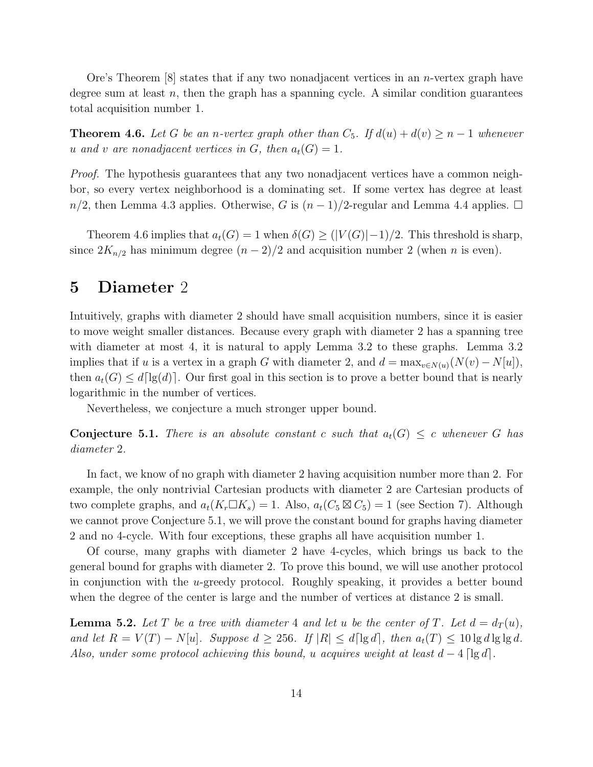Ore's Theorem  $[8]$  states that if any two nonadjacent vertices in an *n*-vertex graph have degree sum at least n, then the graph has a spanning cycle. A similar condition guarantees total acquisition number 1.

**Theorem 4.6.** Let G be an n-vertex graph other than  $C_5$ . If  $d(u) + d(v) \geq n - 1$  whenever u and v are nonadjacent vertices in G, then  $a_t(G) = 1$ .

Proof. The hypothesis guarantees that any two nonadjacent vertices have a common neighbor, so every vertex neighborhood is a dominating set. If some vertex has degree at least  $n/2$ , then Lemma 4.3 applies. Otherwise, G is  $(n-1)/2$ -regular and Lemma 4.4 applies.  $\Box$ 

Theorem 4.6 implies that  $a_t(G) = 1$  when  $\delta(G) \geq (|V(G)|-1)/2$ . This threshold is sharp, since  $2K_{n/2}$  has minimum degree  $(n-2)/2$  and acquisition number 2 (when *n* is even).

#### 5 Diameter 2

Intuitively, graphs with diameter 2 should have small acquisition numbers, since it is easier to move weight smaller distances. Because every graph with diameter 2 has a spanning tree with diameter at most 4, it is natural to apply Lemma 3.2 to these graphs. Lemma 3.2 implies that if u is a vertex in a graph G with diameter 2, and  $d = \max_{v \in N(u)} (N(v) - N[u]),$ then  $a_t(G) \leq d\lceil\lg(d)\rceil$ . Our first goal in this section is to prove a better bound that is nearly logarithmic in the number of vertices.

Nevertheless, we conjecture a much stronger upper bound.

**Conjecture 5.1.** There is an absolute constant c such that  $a_t(G) \leq c$  whenever G has diameter 2.

In fact, we know of no graph with diameter 2 having acquisition number more than 2. For example, the only nontrivial Cartesian products with diameter 2 are Cartesian products of two complete graphs, and  $a_t(K_r \Box K_s) = 1$ . Also,  $a_t(C_5 \boxtimes C_5) = 1$  (see Section 7). Although we cannot prove Conjecture 5.1, we will prove the constant bound for graphs having diameter 2 and no 4-cycle. With four exceptions, these graphs all have acquisition number 1.

Of course, many graphs with diameter 2 have 4-cycles, which brings us back to the general bound for graphs with diameter 2. To prove this bound, we will use another protocol in conjunction with the u-greedy protocol. Roughly speaking, it provides a better bound when the degree of the center is large and the number of vertices at distance 2 is small.

**Lemma 5.2.** Let T be a tree with diameter 4 and let u be the center of T. Let  $d = d_T(u)$ , and let  $R = V(T) - N[u]$ . Suppose  $d \geq 256$ . If  $|R| \leq d \lceil \lg d \rceil$ , then  $a_t(T) \leq 10 \lg d \lg \lg d$ . Also, under some protocol achieving this bound, u acquires weight at least  $d-4 \lceil \lg d \rceil$ .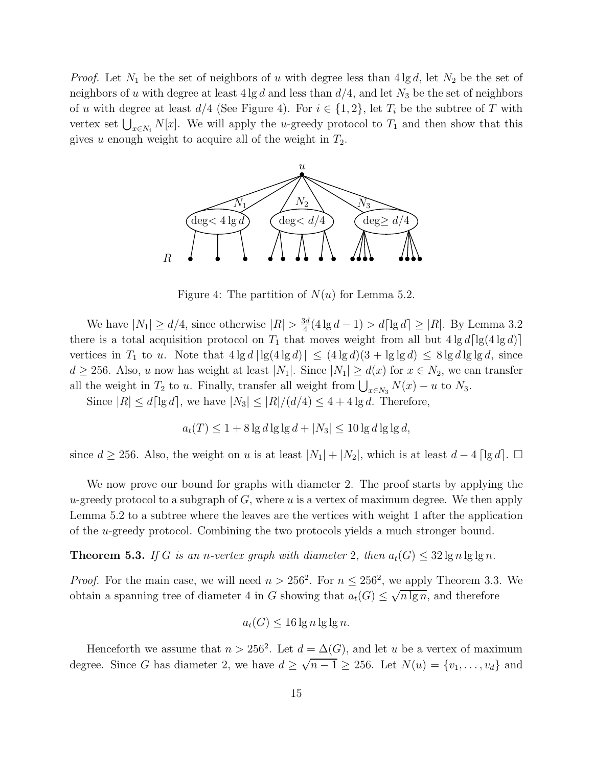*Proof.* Let  $N_1$  be the set of neighbors of u with degree less than  $4 \lg d$ , let  $N_2$  be the set of neighbors of u with degree at least  $4 \lg d$  and less than  $d/4$ , and let  $N_3$  be the set of neighbors of u with degree at least  $d/4$  (See Figure 4). For  $i \in \{1,2\}$ , let  $T_i$  be the subtree of T with vertex set  $\bigcup_{x \in N_i} N[x]$ . We will apply the u-greedy protocol to  $T_1$  and then show that this gives u enough weight to acquire all of the weight in  $T_2$ .



Figure 4: The partition of  $N(u)$  for Lemma 5.2.

We have  $|N_1| \ge d/4$ , since otherwise  $|R| > \frac{3d}{4}$  $\frac{3d}{4}(4\lg d - 1) > d\lceil \lg d \rceil \ge |R|$ . By Lemma 3.2 there is a total acquisition protocol on  $T_1$  that moves weight from all but  $4 \lg d \lceil \lg(4 \lg d) \rceil$ vertices in  $T_1$  to u. Note that  $4 \lg d \lceil \lg(4 \lg d) \rceil \leq (4 \lg d)(3 + \lg \lg d) \leq 8 \lg d \lg \lg d$ , since  $d \ge 256$ . Also, u now has weight at least  $|N_1|$ . Since  $|N_1| \ge d(x)$  for  $x \in N_2$ , we can transfer all the weight in  $T_2$  to u. Finally, transfer all weight from  $\bigcup_{x \in N_3} N(x) - u$  to  $N_3$ .

Since  $|R| \le d \lceil \lg d \rceil$ , we have  $|N_3| \le |R|/(d/4) \le 4 + 4 \lg d$ . Therefore,

$$
a_t(T) \le 1 + 8 \lg d \lg \lg d + |N_3| \le 10 \lg d \lg \lg d,
$$

since  $d \geq 256$ . Also, the weight on u is at least  $|N_1| + |N_2|$ , which is at least  $d - 4 \lceil \lg d \rceil$ .  $\Box$ 

We now prove our bound for graphs with diameter 2. The proof starts by applying the u-greedy protocol to a subgraph of  $G$ , where u is a vertex of maximum degree. We then apply Lemma 5.2 to a subtree where the leaves are the vertices with weight 1 after the application of the u-greedy protocol. Combining the two protocols yields a much stronger bound.

**Theorem 5.3.** If G is an n-vertex graph with diameter 2, then  $a_t(G) \leq 32 \lg n \lg \lg n$ .

*Proof.* For the main case, we will need  $n > 256^2$ . For  $n \leq 256^2$ , we apply Theorem 3.3. We obtain a spanning tree of diameter 4 in G showing that  $a_t(G) \leq \sqrt{n \lg n}$ , and therefore

$$
a_t(G) \le 16 \lg n \lg \lg n.
$$

Henceforth we assume that  $n > 256^2$ . Let  $d = \Delta(G)$ , and let u be a vertex of maximum degree. Since G has diameter 2, we have  $d \geq \sqrt{n-1} \geq 256$ . Let  $N(u) = \{v_1, \ldots, v_d\}$  and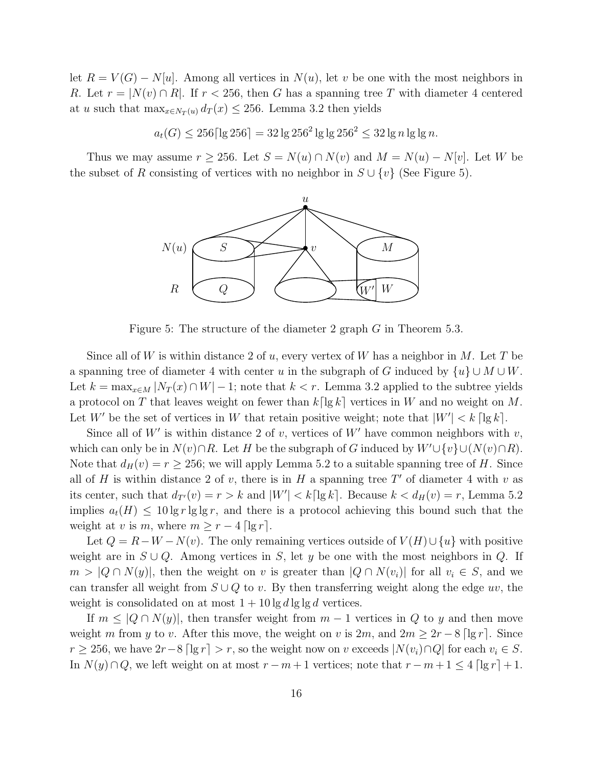let  $R = V(G) - N[u]$ . Among all vertices in  $N(u)$ , let v be one with the most neighbors in R. Let  $r = |N(v) \cap R|$ . If  $r < 256$ , then G has a spanning tree T with diameter 4 centered at u such that  $\max_{x \in N_T(u)} d_T(x) \leq 256$ . Lemma 3.2 then yields

$$
a_t(G) \le 256 \lceil \lg 256 \rceil = 32 \lg 256^2 \lg \lg 256^2 \le 32 \lg n \lg \lg n.
$$

Thus we may assume  $r \ge 256$ . Let  $S = N(u) \cap N(v)$  and  $M = N(u) - N[v]$ . Let W be the subset of R consisting of vertices with no neighbor in  $S \cup \{v\}$  (See Figure 5).



Figure 5: The structure of the diameter 2 graph G in Theorem 5.3.

Since all of W is within distance 2 of u, every vertex of W has a neighbor in M. Let T be a spanning tree of diameter 4 with center u in the subgraph of G induced by  $\{u\} \cup M \cup W$ . Let  $k = \max_{x \in M} |N_T(x) \cap W| - 1$ ; note that  $k < r$ . Lemma 3.2 applied to the subtree yields a protocol on T that leaves weight on fewer than  $k\lceil \lg k \rceil$  vertices in W and no weight on M. Let W' be the set of vertices in W that retain positive weight; note that  $|W'| < k \lceil \lg k \rceil$ .

Since all of W' is within distance 2 of v, vertices of W' have common neighbors with  $v$ , which can only be in  $N(v) \cap R$ . Let H be the subgraph of G induced by  $W' \cup \{v\} \cup (N(v) \cap R)$ . Note that  $d_H(v) = r \ge 256$ ; we will apply Lemma 5.2 to a suitable spanning tree of H. Since all of H is within distance 2 of v, there is in H a spanning tree  $T'$  of diameter 4 with v as its center, such that  $d_{T'}(v) = r > k$  and  $|W'| < k \lceil \lg k \rceil$ . Because  $k < d_H(v) = r$ , Lemma 5.2 implies  $a_t(H) \leq 10 \lg r \lg \lg r$ , and there is a protocol achieving this bound such that the weight at v is m, where  $m \geq r - 4 \lfloor \lg r \rfloor$ .

Let  $Q = R - W - N(v)$ . The only remaining vertices outside of  $V(H) \cup \{u\}$  with positive weight are in  $S \cup Q$ . Among vertices in S, let y be one with the most neighbors in Q. If  $m > |Q \cap N(y)|$ , then the weight on v is greater than  $|Q \cap N(v_i)|$  for all  $v_i \in S$ , and we can transfer all weight from  $S \cup Q$  to v. By then transferring weight along the edge uv, the weight is consolidated on at most  $1 + 10 \lg d \lg \lg d$  vertices.

If  $m \leq |Q \cap N(y)|$ , then transfer weight from  $m-1$  vertices in Q to y and then move weight m from y to v. After this move, the weight on v is  $2m$ , and  $2m \geq 2r - 8 \lceil \lg r \rceil$ . Since  $r \ge 256$ , we have  $2r-8 \lceil \lg r \rceil > r$ , so the weight now on v exceeds  $|N(v_i) \cap Q|$  for each  $v_i \in S$ . In  $N(y) \cap Q$ , we left weight on at most  $r - m + 1$  vertices; note that  $r - m + 1 \leq 4 \lfloor \lg r \rfloor + 1$ .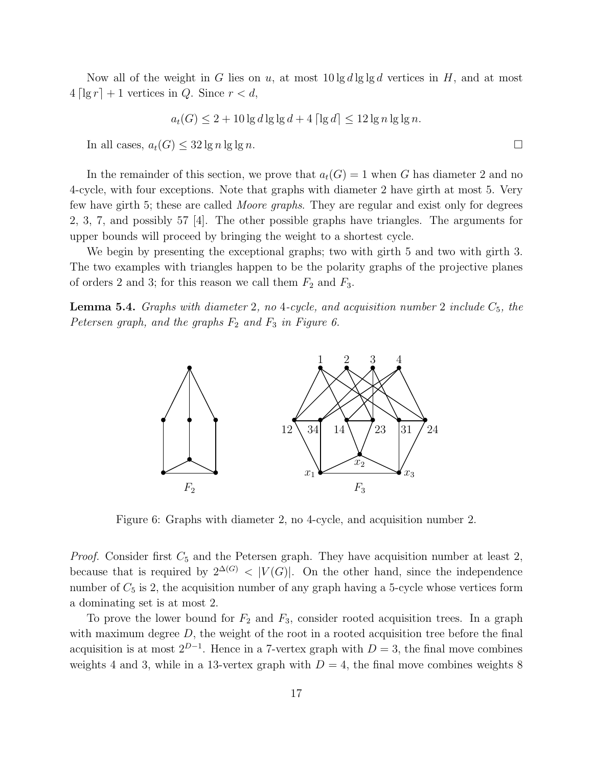Now all of the weight in G lies on u, at most  $10\lg d\lg\lg d$  vertices in H, and at most  $4 \lceil \lg r \rceil + 1$  vertices in Q. Since  $r < d$ ,

$$
a_t(G) \le 2 + 10 \lg d \lg \lg d + 4 \lceil \lg d \rceil \le 12 \lg n \lg \lg n.
$$

In all cases,  $a_t(G) \leq 32 \lg n \lg \lg n$ .

In the remainder of this section, we prove that  $a_t(G) = 1$  when G has diameter 2 and no 4-cycle, with four exceptions. Note that graphs with diameter 2 have girth at most 5. Very few have girth 5; these are called Moore graphs. They are regular and exist only for degrees 2, 3, 7, and possibly 57 [4]. The other possible graphs have triangles. The arguments for upper bounds will proceed by bringing the weight to a shortest cycle.

We begin by presenting the exceptional graphs; two with girth 5 and two with girth 3. The two examples with triangles happen to be the polarity graphs of the projective planes of orders 2 and 3; for this reason we call them  $F_2$  and  $F_3$ .

**Lemma 5.4.** Graphs with diameter 2, no 4-cycle, and acquisition number 2 include  $C_5$ , the Petersen graph, and the graphs  $F_2$  and  $F_3$  in Figure 6.



Figure 6: Graphs with diameter 2, no 4-cycle, and acquisition number 2.

*Proof.* Consider first  $C_5$  and the Petersen graph. They have acquisition number at least 2, because that is required by  $2^{\Delta(G)} < |V(G)|$ . On the other hand, since the independence number of  $C_5$  is 2, the acquisition number of any graph having a 5-cycle whose vertices form a dominating set is at most 2.

To prove the lower bound for  $F_2$  and  $F_3$ , consider rooted acquisition trees. In a graph with maximum degree  $D$ , the weight of the root in a rooted acquisition tree before the final acquisition is at most  $2^{D-1}$ . Hence in a 7-vertex graph with  $D=3$ , the final move combines weights 4 and 3, while in a 13-vertex graph with  $D = 4$ , the final move combines weights 8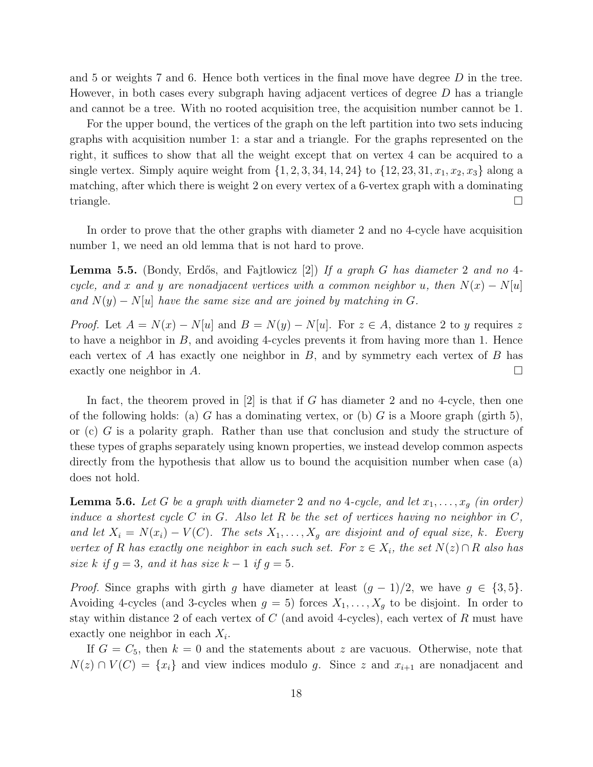and 5 or weights 7 and 6. Hence both vertices in the final move have degree  $D$  in the tree. However, in both cases every subgraph having adjacent vertices of degree D has a triangle and cannot be a tree. With no rooted acquisition tree, the acquisition number cannot be 1.

For the upper bound, the vertices of the graph on the left partition into two sets inducing graphs with acquisition number 1: a star and a triangle. For the graphs represented on the right, it suffices to show that all the weight except that on vertex 4 can be acquired to a single vertex. Simply aquire weight from  $\{1, 2, 3, 34, 14, 24\}$  to  $\{12, 23, 31, x_1, x_2, x_3\}$  along a matching, after which there is weight 2 on every vertex of a 6-vertex graph with a dominating triangle.  $\square$ 

In order to prove that the other graphs with diameter 2 and no 4-cycle have acquisition number 1, we need an old lemma that is not hard to prove.

**Lemma 5.5.** (Bondy, Erdős, and Fajtlowicz [2]) If a graph G has diameter 2 and no 4cycle, and x and y are nonadjacent vertices with a common neighbor u, then  $N(x) - N[u]$ and  $N(y) - N[u]$  have the same size and are joined by matching in G.

*Proof.* Let  $A = N(x) - N[u]$  and  $B = N(y) - N[u]$ . For  $z \in A$ , distance 2 to y requires z to have a neighbor in  $B$ , and avoiding 4-cycles prevents it from having more than 1. Hence each vertex of  $A$  has exactly one neighbor in  $B$ , and by symmetry each vertex of  $B$  has exactly one neighbor in  $A$ .

In fact, the theorem proved in  $[2]$  is that if G has diameter 2 and no 4-cycle, then one of the following holds: (a) G has a dominating vertex, or (b) G is a Moore graph (girth 5), or (c) G is a polarity graph. Rather than use that conclusion and study the structure of these types of graphs separately using known properties, we instead develop common aspects directly from the hypothesis that allow us to bound the acquisition number when case (a) does not hold.

**Lemma 5.6.** Let G be a graph with diameter 2 and no 4-cycle, and let  $x_1, \ldots, x_q$  (in order) induce a shortest cycle C in G. Also let R be the set of vertices having no neighbor in  $C$ , and let  $X_i = N(x_i) - V(C)$ . The sets  $X_1, \ldots, X_g$  are disjoint and of equal size, k. Every vertex of R has exactly one neighbor in each such set. For  $z \in X_i$ , the set  $N(z) \cap R$  also has size k if  $g = 3$ , and it has size  $k - 1$  if  $g = 5$ .

*Proof.* Since graphs with girth g have diameter at least  $(g-1)/2$ , we have  $g \in \{3, 5\}$ . Avoiding 4-cycles (and 3-cycles when  $g = 5$ ) forces  $X_1, \ldots, X_g$  to be disjoint. In order to stay within distance 2 of each vertex of  $C$  (and avoid 4-cycles), each vertex of  $R$  must have exactly one neighbor in each  $X_i$ .

If  $G = C_5$ , then  $k = 0$  and the statements about z are vacuous. Otherwise, note that  $N(z) \cap V(C) = \{x_i\}$  and view indices modulo g. Since z and  $x_{i+1}$  are nonadjacent and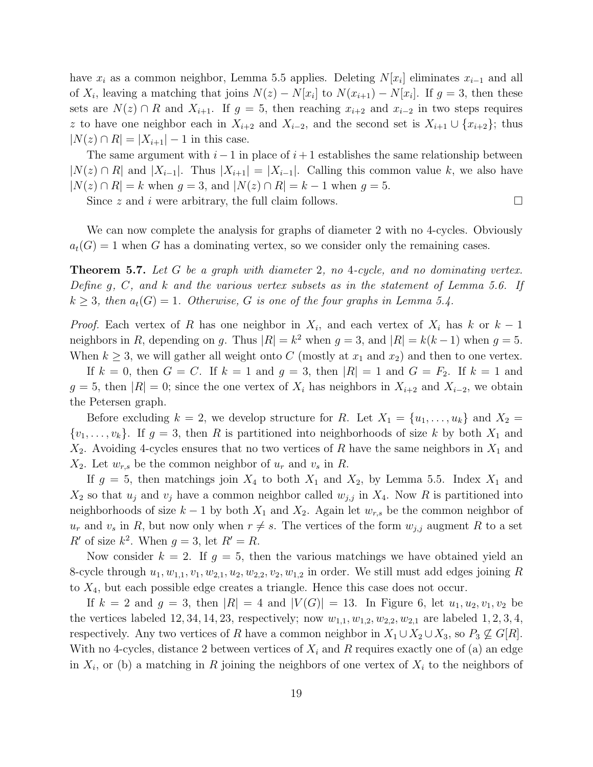have  $x_i$  as a common neighbor, Lemma 5.5 applies. Deleting  $N[x_i]$  eliminates  $x_{i-1}$  and all of  $X_i$ , leaving a matching that joins  $N(z) - N[x_i]$  to  $N(x_{i+1}) - N[x_i]$ . If  $g = 3$ , then these sets are  $N(z) \cap R$  and  $X_{i+1}$ . If  $g = 5$ , then reaching  $x_{i+2}$  and  $x_{i-2}$  in two steps requires z to have one neighbor each in  $X_{i+2}$  and  $X_{i-2}$ , and the second set is  $X_{i+1} \cup \{x_{i+2}\}$ ; thus  $|N(z) \cap R| = |X_{i+1}| - 1$  in this case.

The same argument with  $i-1$  in place of  $i+1$  establishes the same relationship between  $|N(z) \cap R|$  and  $|X_{i-1}|$ . Thus  $|X_{i+1}| = |X_{i-1}|$ . Calling this common value k, we also have  $|N(z) \cap R| = k$  when  $g = 3$ , and  $|N(z) \cap R| = k - 1$  when  $g = 5$ .

Since z and i were arbitrary, the full claim follows.  $\Box$ 

We can now complete the analysis for graphs of diameter 2 with no 4-cycles. Obviously  $a_t(G) = 1$  when G has a dominating vertex, so we consider only the remaining cases.

**Theorem 5.7.** Let G be a graph with diameter 2, no 4-cycle, and no dominating vertex. Define g, C, and  $k$  and the various vertex subsets as in the statement of Lemma 5.6. If  $k \geq 3$ , then  $a_t(G) = 1$ . Otherwise, G is one of the four graphs in Lemma 5.4.

*Proof.* Each vertex of R has one neighbor in  $X_i$ , and each vertex of  $X_i$  has k or  $k-1$ neighbors in R, depending on g. Thus  $|R| = k^2$  when  $g = 3$ , and  $|R| = k(k-1)$  when  $g = 5$ . When  $k \geq 3$ , we will gather all weight onto C (mostly at  $x_1$  and  $x_2$ ) and then to one vertex.

If  $k = 0$ , then  $G = C$ . If  $k = 1$  and  $g = 3$ , then  $|R| = 1$  and  $G = F_2$ . If  $k = 1$  and  $g = 5$ , then  $|R| = 0$ ; since the one vertex of  $X_i$  has neighbors in  $X_{i+2}$  and  $X_{i-2}$ , we obtain the Petersen graph.

Before excluding  $k = 2$ , we develop structure for R. Let  $X_1 = \{u_1, \ldots, u_k\}$  and  $X_2 =$  $\{v_1, \ldots, v_k\}$ . If  $g = 3$ , then R is partitioned into neighborhoods of size k by both  $X_1$  and  $X_2$ . Avoiding 4-cycles ensures that no two vertices of R have the same neighbors in  $X_1$  and  $X_2$ . Let  $w_{r,s}$  be the common neighbor of  $u_r$  and  $v_s$  in R.

If  $g = 5$ , then matchings join  $X_4$  to both  $X_1$  and  $X_2$ , by Lemma 5.5. Index  $X_1$  and  $X_2$  so that  $u_j$  and  $v_j$  have a common neighbor called  $w_{j,j}$  in  $X_4$ . Now R is partitioned into neighborhoods of size  $k-1$  by both  $X_1$  and  $X_2$ . Again let  $w_{r,s}$  be the common neighbor of  $u_r$  and  $v_s$  in R, but now only when  $r \neq s$ . The vertices of the form  $w_{j,j}$  augment R to a set  $R'$  of size  $k^2$ . When  $g = 3$ , let  $R' = R$ .

Now consider  $k = 2$ . If  $g = 5$ , then the various matchings we have obtained yield an 8-cycle through  $u_1, w_{1,1}, v_1, w_{2,1}, u_2, w_{2,2}, v_2, w_{1,2}$  in order. We still must add edges joining R to  $X_4$ , but each possible edge creates a triangle. Hence this case does not occur.

If  $k = 2$  and  $g = 3$ , then  $|R| = 4$  and  $|V(G)| = 13$ . In Figure 6, let  $u_1, u_2, v_1, v_2$  be the vertices labeled 12, 34, 14, 23, respectively; now  $w_{1,1}, w_{1,2}, w_{2,2}, w_{2,1}$  are labeled 1, 2, 3, 4, respectively. Any two vertices of R have a common neighbor in  $X_1 \cup X_2 \cup X_3$ , so  $P_3 \nsubseteq G[R]$ . With no 4-cycles, distance 2 between vertices of  $X_i$  and R requires exactly one of (a) an edge in  $X_i$ , or (b) a matching in R joining the neighbors of one vertex of  $X_i$  to the neighbors of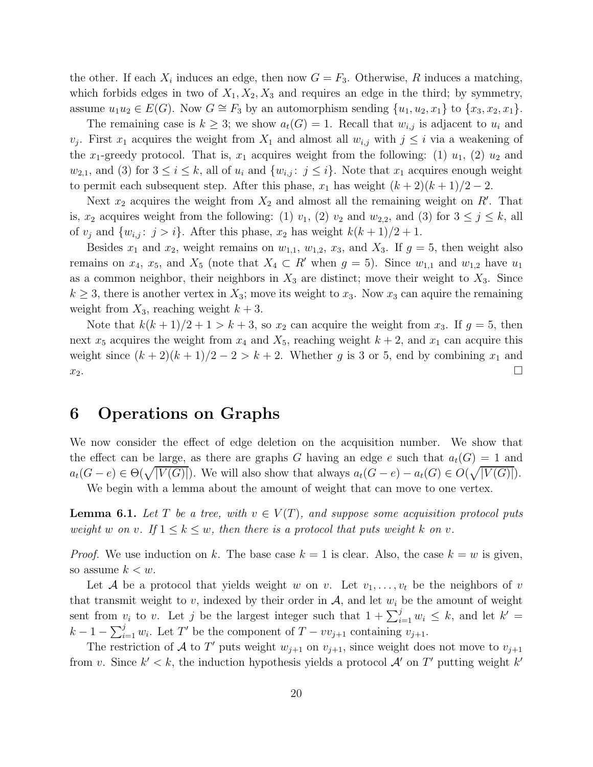the other. If each  $X_i$  induces an edge, then now  $G = F_3$ . Otherwise, R induces a matching, which forbids edges in two of  $X_1, X_2, X_3$  and requires an edge in the third; by symmetry, assume  $u_1u_2 \in E(G)$ . Now  $G \cong F_3$  by an automorphism sending  $\{u_1, u_2, x_1\}$  to  $\{x_3, x_2, x_1\}$ .

The remaining case is  $k \geq 3$ ; we show  $a_t(G) = 1$ . Recall that  $w_{i,j}$  is adjacent to  $u_i$  and  $v_j$ . First  $x_1$  acquires the weight from  $X_1$  and almost all  $w_{i,j}$  with  $j \leq i$  via a weakening of the x<sub>1</sub>-greedy protocol. That is,  $x_1$  acquires weight from the following: (1)  $u_1$ , (2)  $u_2$  and  $w_{2,1}$ , and (3) for  $3 \leq i \leq k$ , all of  $u_i$  and  $\{w_{i,j}: j \leq i\}$ . Note that  $x_1$  acquires enough weight to permit each subsequent step. After this phase,  $x_1$  has weight  $(k+2)(k+1)/2-2$ .

Next  $x_2$  acquires the weight from  $X_2$  and almost all the remaining weight on  $R'$ . That is,  $x_2$  acquires weight from the following: (1)  $v_1$ , (2)  $v_2$  and  $w_{2,2}$ , and (3) for  $3 \le j \le k$ , all of  $v_j$  and  $\{w_{i,j}: j > i\}$ . After this phase,  $x_2$  has weight  $k(k+1)/2 + 1$ .

Besides  $x_1$  and  $x_2$ , weight remains on  $w_{1,1}$ ,  $w_{1,2}$ ,  $x_3$ , and  $X_3$ . If  $g = 5$ , then weight also remains on  $x_4$ ,  $x_5$ , and  $X_5$  (note that  $X_4 \subset R'$  when  $g = 5$ ). Since  $w_{1,1}$  and  $w_{1,2}$  have  $u_1$ as a common neighbor, their neighbors in  $X_3$  are distinct; move their weight to  $X_3$ . Since  $k \geq 3$ , there is another vertex in  $X_3$ ; move its weight to  $x_3$ . Now  $x_3$  can aquire the remaining weight from  $X_3$ , reaching weight  $k+3$ .

Note that  $k(k+1)/2+1 > k+3$ , so  $x_2$  can acquire the weight from  $x_3$ . If  $g=5$ , then next  $x_5$  acquires the weight from  $x_4$  and  $X_5$ , reaching weight  $k + 2$ , and  $x_1$  can acquire this weight since  $(k+2)(k+1)/2-2 > k+2$ . Whether g is 3 or 5, end by combining  $x_1$  and  $x_2$ .

### 6 Operations on Graphs

We now consider the effect of edge deletion on the acquisition number. We show that the effect can be large, as there are graphs G having an edge e such that  $a_t(G) = 1$  and  $a_t(G-e) \in \Theta(\sqrt{|V(G)|})$ . We will also show that always  $a_t(G-e) - a_t(G) \in O(\sqrt{|V(G)|})$ .

We begin with a lemma about the amount of weight that can move to one vertex.

**Lemma 6.1.** Let T be a tree, with  $v \in V(T)$ , and suppose some acquisition protocol puts weight w on v. If  $1 \leq k \leq w$ , then there is a protocol that puts weight k on v.

*Proof.* We use induction on k. The base case  $k = 1$  is clear. Also, the case  $k = w$  is given, so assume  $k < w$ .

Let A be a protocol that yields weight w on v. Let  $v_1, \ldots, v_t$  be the neighbors of v that transmit weight to v, indexed by their order in  $A$ , and let  $w_i$  be the amount of weight sent from  $v_i$  to v. Let j be the largest integer such that  $1 + \sum_{i=1}^{j} w_i \leq k$ , and let  $k' =$  $k-1-\sum_{i=1}^j w_i$ . Let T' be the component of  $T-vv_{j+1}$  containing  $v_{j+1}$ .

The restriction of A to T' puts weight  $w_{j+1}$  on  $v_{j+1}$ , since weight does not move to  $v_{j+1}$ from v. Since  $k' < k$ , the induction hypothesis yields a protocol  $\mathcal{A}'$  on  $T'$  putting weight  $k'$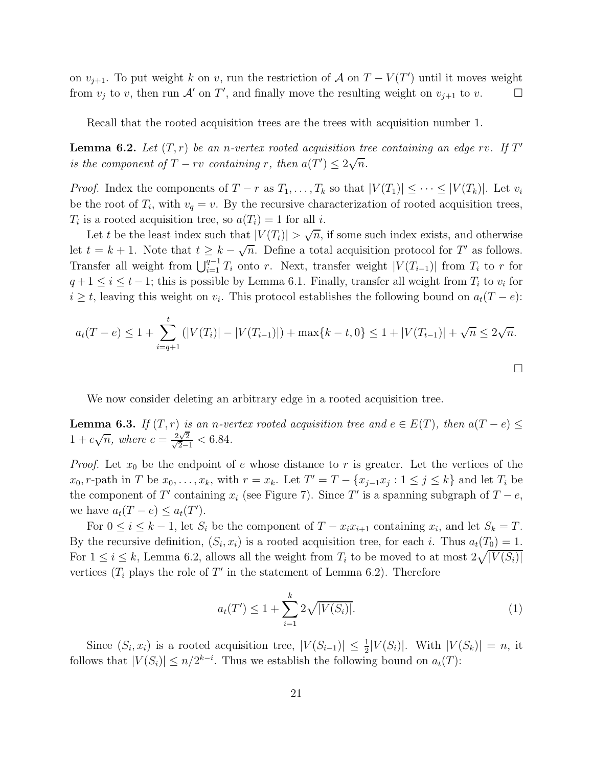on  $v_{j+1}$ . To put weight k on v, run the restriction of A on  $T - V(T')$  until it moves weight from  $v_j$  to v, then run  $\mathcal A'$  on  $T'$ , and finally move the resulting weight on  $v_{j+1}$  to  $v$ .

Recall that the rooted acquisition trees are the trees with acquisition number 1.

**Lemma 6.2.** Let  $(T, r)$  be an n-vertex rooted acquisition tree containing an edge rv. If T' is the component of  $T - rv$  containing r, then  $a(T') \leq 2\sqrt{n}$ .

*Proof.* Index the components of  $T - r$  as  $T_1, \ldots, T_k$  so that  $|V(T_1)| \leq \cdots \leq |V(T_k)|$ . Let  $v_i$ be the root of  $T_i$ , with  $v_q = v$ . By the recursive characterization of rooted acquisition trees,  $T_i$  is a rooted acquisition tree, so  $a(T_i) = 1$  for all *i*.

Let t be the least index such that  $|V(T_t)| > \sqrt{n}$ , if some such index exists, and otherwise let  $t = k + 1$ . Note that  $t \geq k - \sqrt{n}$ . Define a total acquisition protocol for T' as follows. Transfer all weight from  $\bigcup_{i=1}^{q-1} T_i$  onto r. Next, transfer weight  $|V(T_{i-1})|$  from  $T_i$  to r for  $q + 1 \leq i \leq t - 1$ ; this is possible by Lemma 6.1. Finally, transfer all weight from  $T_i$  to  $v_i$  for  $i \geq t$ , leaving this weight on  $v_i$ . This protocol establishes the following bound on  $a_t(T - e)$ :

$$
a_t(T - e) \le 1 + \sum_{i=q+1}^t (|V(T_i)| - |V(T_{i-1})|) + \max\{k - t, 0\} \le 1 + |V(T_{t-1})| + \sqrt{n} \le 2\sqrt{n}.
$$

We now consider deleting an arbitrary edge in a rooted acquisition tree.

**Lemma 6.3.** If  $(T, r)$  is an n-vertex rooted acquisition tree and  $e \in E(T)$ , then  $a(T - e) \leq$  $1 + c\sqrt{n}$ , where  $c = \frac{2\sqrt{n}}{\sqrt{2}}$  $\frac{2\sqrt{2}}{\sqrt{2}}$  $\frac{\sqrt{2}}{2-1}$  < 6.84.

*Proof.* Let  $x_0$  be the endpoint of e whose distance to r is greater. Let the vertices of the  $x_0, r$ -path in T be  $x_0, \ldots, x_k$ , with  $r = x_k$ . Let  $T' = T - \{x_{j-1}x_j : 1 \le j \le k\}$  and let  $T_i$  be the component of  $T'$  containing  $x_i$  (see Figure 7). Since  $T'$  is a spanning subgraph of  $T - e$ , we have  $a_t(T - e) \leq a_t(T')$ .

For  $0 \le i \le k-1$ , let  $S_i$  be the component of  $T - x_i x_{i+1}$  containing  $x_i$ , and let  $S_k = T$ . By the recursive definition,  $(S_i, x_i)$  is a rooted acquisition tree, for each i. Thus  $a_t(T_0) = 1$ . For  $1 \leq i \leq k$ , Lemma 6.2, allows all the weight from  $T_i$  to be moved to at most  $2\sqrt{|V(S_i)|}$ vertices  $(T_i$  plays the role of  $T'$  in the statement of Lemma 6.2). Therefore

$$
a_t(T') \le 1 + \sum_{i=1}^k 2\sqrt{|V(S_i)|}.\tag{1}
$$

 $\Box$ 

Since  $(S_i, x_i)$  is a rooted acquisition tree,  $|V(S_{i-1})| \leq \frac{1}{2}|V(S_i)|$ . With  $|V(S_k)| = n$ , it follows that  $|V(S_i)| \leq n/2^{k-i}$ . Thus we establish the following bound on  $a_t(T)$ :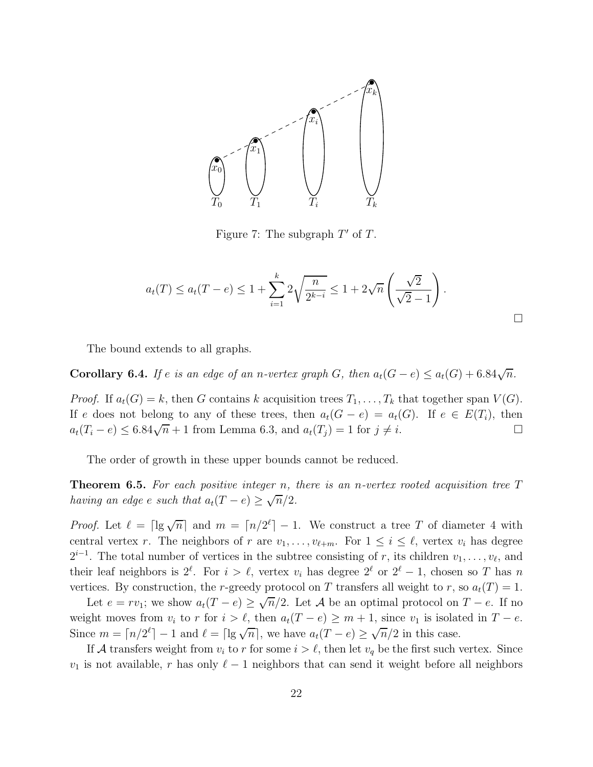

Figure 7: The subgraph  $T'$  of T.

$$
a_t(T) \le a_t(T-e) \le 1 + \sum_{i=1}^k 2\sqrt{\frac{n}{2^{k-i}}} \le 1 + 2\sqrt{n}\left(\frac{\sqrt{2}}{\sqrt{2}-1}\right).
$$

The bound extends to all graphs.

Corollary 6.4. If e is an edge of an n-vertex graph G, then  $a_t(G - e) \le a_t(G) + 6.84\sqrt{n}$ .

*Proof.* If  $a_t(G) = k$ , then G contains k acquisition trees  $T_1, \ldots, T_k$  that together span  $V(G)$ . If e does not belong to any of these trees, then  $a_t(G - e) = a_t(G)$ . If  $e \in E(T_i)$ , then  $a_t(T_i - e) \leq 6.84\sqrt{n} + 1$  from Lemma 6.3, and  $a_t(T_j) = 1$  for  $j \neq i$ .

The order of growth in these upper bounds cannot be reduced.

**Theorem 6.5.** For each positive integer n, there is an n-vertex rooted acquisition tree  $T$ having an edge e such that  $a_t(T-e) \ge \sqrt{n}/2$ .

*Proof.* Let  $\ell = \lceil \lg \sqrt{n} \rceil$  and  $m = \lceil n/2^{\ell} \rceil - 1$ . We construct a tree T of diameter 4 with central vertex r. The neighbors of r are  $v_1, \ldots, v_{\ell+m}$ . For  $1 \leq i \leq \ell$ , vertex  $v_i$  has degree  $2^{i-1}$ . The total number of vertices in the subtree consisting of r, its children  $v_1, \ldots, v_\ell$ , and their leaf neighbors is  $2^{\ell}$ . For  $i > \ell$ , vertex  $v_i$  has degree  $2^{\ell}$  or  $2^{\ell} - 1$ , chosen so T has n vertices. By construction, the r-greedy protocol on T transfers all weight to r, so  $a_t(T) = 1$ .

Let  $e = rv_1$ ; we show  $a_t(T - e) \ge \sqrt{n}/2$ . Let A be an optimal protocol on  $T - e$ . If no weight moves from  $v_i$  to r for  $i > \ell$ , then  $a_t(T - e) \ge m + 1$ , since  $v_1$  is isolated in  $T - e$ . Since  $m = \lceil n/2^{\ell} \rceil - 1$  and  $\ell = \lceil \lg \sqrt{n} \rceil$ , we have  $a_t(T - e) \ge \sqrt{n}/2$  in this case.

If A transfers weight from  $v_i$  to r for some  $i > \ell$ , then let  $v_q$  be the first such vertex. Since  $v_1$  is not available, r has only  $\ell-1$  neighbors that can send it weight before all neighbors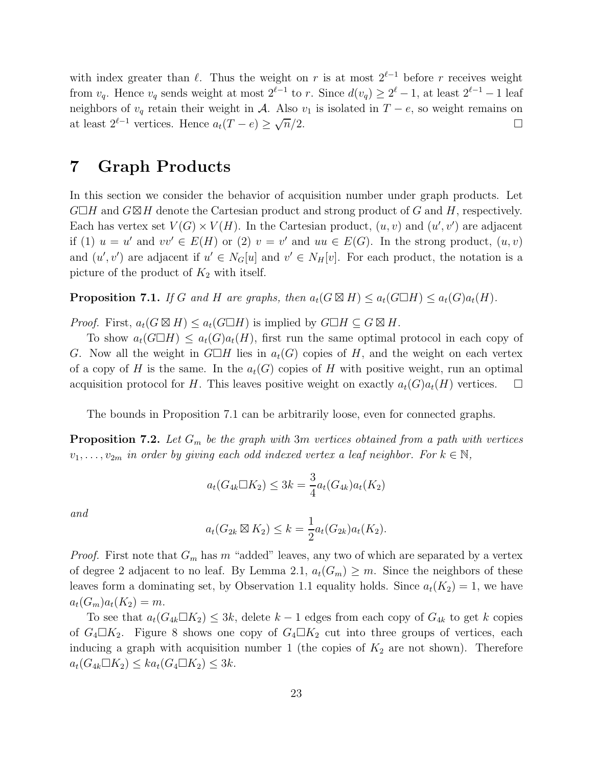with index greater than  $\ell$ . Thus the weight on r is at most  $2^{\ell-1}$  before r receives weight from  $v_q$ . Hence  $v_q$  sends weight at most  $2^{\ell-1}$  to r. Since  $d(v_q) \geq 2^{\ell} - 1$ , at least  $2^{\ell-1} - 1$  leaf neighbors of  $v_q$  retain their weight in A. Also  $v_1$  is isolated in  $T - e$ , so weight remains on at least  $2^{\ell-1}$  vertices. Hence  $a_t(T-e) \ge \sqrt{\frac{2}{\ell}}$  $\overline{n}/2.$ 

### 7 Graph Products

In this section we consider the behavior of acquisition number under graph products. Let  $G\Box H$  and  $G\boxtimes H$  denote the Cartesian product and strong product of G and H, respectively. Each has vertex set  $V(G) \times V(H)$ . In the Cartesian product,  $(u, v)$  and  $(u', v')$  are adjacent if (1)  $u = u'$  and  $vv' \in E(H)$  or (2)  $v = v'$  and  $uu \in E(G)$ . In the strong product,  $(u, v)$ and  $(u', v')$  are adjacent if  $u' \in N_G[u]$  and  $v' \in N_H[v]$ . For each product, the notation is a picture of the product of  $K_2$  with itself.

**Proposition 7.1.** If G and H are graphs, then  $a_t(G \boxtimes H) \le a_t(G \Box H) \le a_t(G)a_t(H)$ .

*Proof.* First,  $a_t(G \boxtimes H) \leq a_t(G \square H)$  is implied by  $G \square H \subseteq G \boxtimes H$ .

To show  $a_t(G\Box H) \leq a_t(G)a_t(H)$ , first run the same optimal protocol in each copy of G. Now all the weight in  $G\Box H$  lies in  $a_t(G)$  copies of H, and the weight on each vertex of a copy of H is the same. In the  $a_t(G)$  copies of H with positive weight, run an optimal acquisition protocol for H. This leaves positive weight on exactly  $a_t(G)a_t(H)$  vertices.  $\Box$ 

The bounds in Proposition 7.1 can be arbitrarily loose, even for connected graphs.

**Proposition 7.2.** Let  $G_m$  be the graph with 3m vertices obtained from a path with vertices  $v_1, \ldots, v_{2m}$  in order by giving each odd indexed vertex a leaf neighbor. For  $k \in \mathbb{N}$ ,

$$
a_t(G_{4k} \Box K_2) \le 3k = \frac{3}{4} a_t(G_{4k}) a_t(K_2)
$$

and

$$
a_t(G_{2k} \boxtimes K_2) \le k = \frac{1}{2} a_t(G_{2k}) a_t(K_2).
$$

*Proof.* First note that  $G_m$  has m "added" leaves, any two of which are separated by a vertex of degree 2 adjacent to no leaf. By Lemma 2.1,  $a_t(G_m) \geq m$ . Since the neighbors of these leaves form a dominating set, by Observation 1.1 equality holds. Since  $a_t(K_2) = 1$ , we have  $a_t(G_m)a_t(K_2) = m.$ 

To see that  $a_t(G_{4k}\Box K_2) \leq 3k$ , delete  $k-1$  edges from each copy of  $G_{4k}$  to get k copies of  $G_4 \square K_2$ . Figure 8 shows one copy of  $G_4 \square K_2$  cut into three groups of vertices, each inducing a graph with acquisition number 1 (the copies of  $K_2$  are not shown). Therefore  $a_t(G_{4k}\Box K_2) \leq ka_t(G_4\Box K_2) \leq 3k.$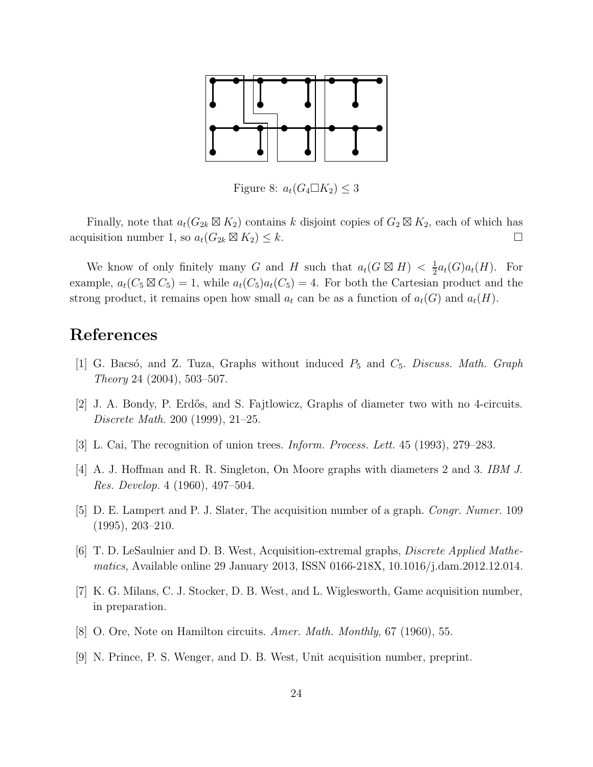

Figure 8:  $a_t(G_4 \Box K_2) \leq 3$ 

Finally, note that  $a_t(G_{2k} \boxtimes K_2)$  contains k disjoint copies of  $G_2 \boxtimes K_2$ , each of which has acquisition number 1, so  $a_t(G_{2k} \boxtimes K_2) \leq k$ .

We know of only finitely many G and H such that  $a_t(G \boxtimes H) < \frac{1}{2}$  $\frac{1}{2}a_t(G)a_t(H)$ . For example,  $a_t(C_5 \boxtimes C_5) = 1$ , while  $a_t(C_5)a_t(C_5) = 4$ . For both the Cartesian product and the strong product, it remains open how small  $a_t$  can be as a function of  $a_t(G)$  and  $a_t(H)$ .

#### References

- [1] G. Bacsó, and Z. Tuza, Graphs without induced  $P_5$  and  $C_5$ . Discuss. Math. Graph Theory 24 (2004), 503–507.
- [2] J. A. Bondy, P. Erdős, and S. Fajtlowicz, Graphs of diameter two with no 4-circuits. Discrete Math. 200 (1999), 21–25.
- [3] L. Cai, The recognition of union trees. Inform. Process. Lett. 45 (1993), 279–283.
- [4] A. J. Hoffman and R. R. Singleton, On Moore graphs with diameters 2 and 3. IBM J. Res. Develop. 4 (1960), 497–504.
- [5] D. E. Lampert and P. J. Slater, The acquisition number of a graph. Congr. Numer. 109 (1995), 203–210.
- [6] T. D. LeSaulnier and D. B. West, Acquisition-extremal graphs, Discrete Applied Mathematics, Available online 29 January 2013, ISSN 0166-218X, 10.1016/j.dam.2012.12.014.
- [7] K. G. Milans, C. J. Stocker, D. B. West, and L. Wiglesworth, Game acquisition number, in preparation.
- [8] O. Ore, Note on Hamilton circuits. Amer. Math. Monthly, 67 (1960), 55.
- [9] N. Prince, P. S. Wenger, and D. B. West, Unit acquisition number, preprint.